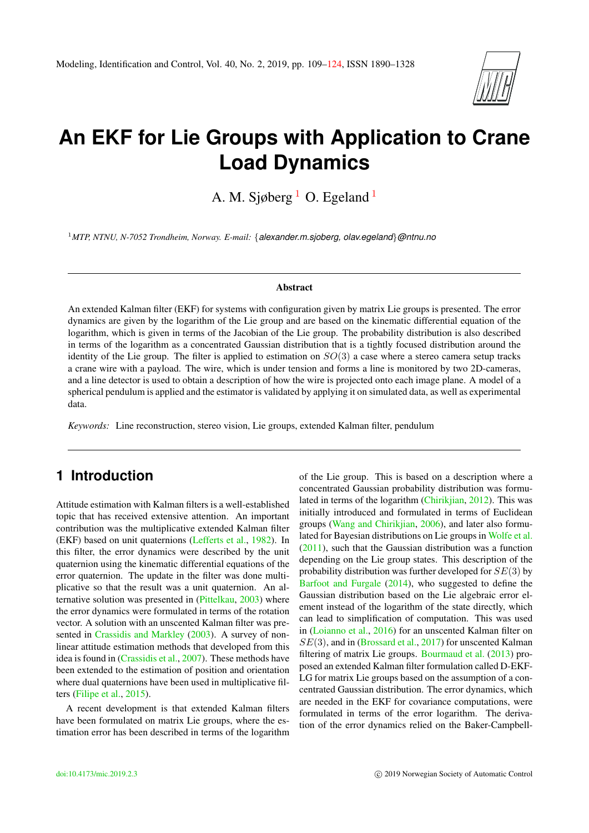

# **An EKF for Lie Groups with Application to Crane Load Dynamics**

A. M. Sjøberg  $<sup>1</sup>$  $<sup>1</sup>$  $<sup>1</sup>$  O. Egeland  $<sup>1</sup>$ </sup></sup>

<sup>1</sup>*MTP, NTNU, N-7052 Trondheim, Norway. E-mail:* {*alexander.m.sjoberg, olav.egeland*}*@ntnu.no*

#### Abstract

An extended Kalman filter (EKF) for systems with configuration given by matrix Lie groups is presented. The error dynamics are given by the logarithm of the Lie group and are based on the kinematic differential equation of the logarithm, which is given in terms of the Jacobian of the Lie group. The probability distribution is also described in terms of the logarithm as a concentrated Gaussian distribution that is a tightly focused distribution around the identity of the Lie group. The filter is applied to estimation on  $SO(3)$  a case where a stereo camera setup tracks a crane wire with a payload. The wire, which is under tension and forms a line is monitored by two 2D-cameras, and a line detector is used to obtain a description of how the wire is projected onto each image plane. A model of a spherical pendulum is applied and the estimator is validated by applying it on simulated data, as well as experimental data.

*Keywords:* Line reconstruction, stereo vision, Lie groups, extended Kalman filter, pendulum

# <span id="page-0-0"></span>**1 Introduction**

Attitude estimation with Kalman filters is a well-established topic that has received extensive attention. An important contribution was the multiplicative extended Kalman filter (EKF) based on unit quaternions [\(Lefferts et al.,](#page-14-0) [1982\)](#page-14-0). In this filter, the error dynamics were described by the unit quaternion using the kinematic differential equations of the error quaternion. The update in the filter was done multiplicative so that the result was a unit quaternion. An alternative solution was presented in [\(Pittelkau,](#page-15-1) [2003\)](#page-15-1) where the error dynamics were formulated in terms of the rotation vector. A solution with an unscented Kalman filter was presented in [Crassidis and Markley](#page-14-1) [\(2003\)](#page-14-1). A survey of nonlinear attitude estimation methods that developed from this idea is found in [\(Crassidis et al.,](#page-14-2) [2007\)](#page-14-2). These methods have been extended to the estimation of position and orientation where dual quaternions have been used in multiplicative filters [\(Filipe et al.,](#page-14-3) [2015\)](#page-14-3).

A recent development is that extended Kalman filters have been formulated on matrix Lie groups, where the estimation error has been described in terms of the logarithm of the Lie group. This is based on a description where a concentrated Gaussian probability distribution was formulated in terms of the logarithm [\(Chirikjian,](#page-14-4) [2012\)](#page-14-4). This was initially introduced and formulated in terms of Euclidean groups [\(Wang and Chirikjian,](#page-15-2) [2006\)](#page-15-2), and later also formulated for Bayesian distributions on Lie groups in [Wolfe et al.](#page-15-3) [\(2011\)](#page-15-3), such that the Gaussian distribution was a function depending on the Lie group states. This description of the probability distribution was further developed for  $SE(3)$  by [Barfoot and Furgale](#page-14-5) [\(2014\)](#page-14-5), who suggested to define the Gaussian distribution based on the Lie algebraic error element instead of the logarithm of the state directly, which can lead to simplification of computation. This was used in [\(Loianno et al.,](#page-15-4) [2016\)](#page-15-4) for an unscented Kalman filter on  $SE(3)$ , and in [\(Brossard et al.,](#page-14-6) [2017\)](#page-14-6) for unscented Kalman filtering of matrix Lie groups. [Bourmaud et al.](#page-14-7) [\(2013\)](#page-14-7) proposed an extended Kalman filter formulation called D-EKF-LG for matrix Lie groups based on the assumption of a concentrated Gaussian distribution. The error dynamics, which are needed in the EKF for covariance computations, were formulated in terms of the error logarithm. The derivation of the error dynamics relied on the Baker-Campbell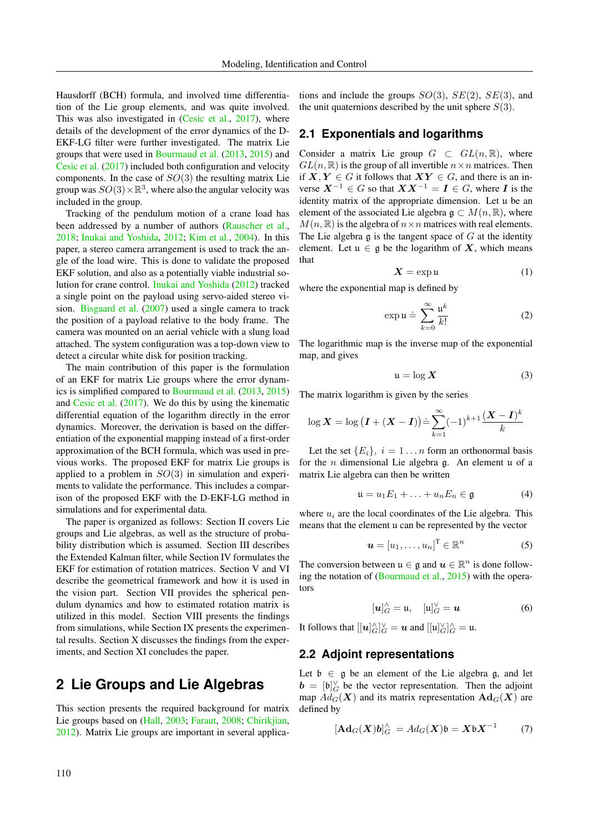Hausdorff (BCH) formula, and involved time differentiation of the Lie group elements, and was quite involved. This was also investigated in [\(Cesic et al.,](#page-14-8) [2017\)](#page-14-8), where details of the development of the error dynamics of the D-EKF-LG filter were further investigated. The matrix Lie groups that were used in [Bourmaud et al.](#page-14-7) [\(2013,](#page-14-7) [2015\)](#page-14-9) and [Cesic et al.](#page-14-8) [\(2017\)](#page-14-8) included both configuration and velocity components. In the case of  $SO(3)$  the resulting matrix Lie group was  $SO(3) \times \mathbb{R}^3$ , where also the angular velocity was included in the group.

Tracking of the pendulum motion of a crane load has been addressed by a number of authors [\(Rauscher et al.,](#page-15-5) [2018;](#page-15-5) [Inukai and Yoshida,](#page-14-10) [2012;](#page-14-10) [Kim et al.,](#page-14-11) [2004\)](#page-14-11). In this paper, a stereo camera arrangement is used to track the angle of the load wire. This is done to validate the proposed EKF solution, and also as a potentially viable industrial solution for crane control. [Inukai and Yoshida](#page-14-10) [\(2012\)](#page-14-10) tracked a single point on the payload using servo-aided stereo vision. [Bisgaard et al.](#page-14-12) [\(2007\)](#page-14-12) used a single camera to track the position of a payload relative to the body frame. The camera was mounted on an aerial vehicle with a slung load attached. The system configuration was a top-down view to detect a circular white disk for position tracking.

The main contribution of this paper is the formulation of an EKF for matrix Lie groups where the error dynamics is simplified compared to [Bourmaud et al.](#page-14-7) [\(2013,](#page-14-7) [2015\)](#page-14-9) and [Cesic et al.](#page-14-8) [\(2017\)](#page-14-8). We do this by using the kinematic differential equation of the logarithm directly in the error dynamics. Moreover, the derivation is based on the differentiation of the exponential mapping instead of a first-order approximation of the BCH formula, which was used in previous works. The proposed EKF for matrix Lie groups is applied to a problem in  $SO(3)$  in simulation and experiments to validate the performance. This includes a comparison of the proposed EKF with the D-EKF-LG method in simulations and for experimental data.

The paper is organized as follows: Section II covers Lie groups and Lie algebras, as well as the structure of probability distribution which is assumed. Section III describes the Extended Kalman filter, while Section IV formulates the EKF for estimation of rotation matrices. Section V and VI describe the geometrical framework and how it is used in the vision part. Section VII provides the spherical pendulum dynamics and how to estimated rotation matrix is utilized in this model. Section VIII presents the findings from simulations, while Section IX presents the experimental results. Section X discusses the findings from the experiments, and Section XI concludes the paper.

### **2 Lie Groups and Lie Algebras**

This section presents the required background for matrix Lie groups based on [\(Hall,](#page-14-13) [2003;](#page-14-13) [Faraut,](#page-14-14) [2008;](#page-14-14) [Chirikjian,](#page-14-4) [2012\)](#page-14-4). Matrix Lie groups are important in several applications and include the groups  $SO(3)$ ,  $SE(2)$ ,  $SE(3)$ , and the unit quaternions described by the unit sphere  $S(3)$ .

#### **2.1 Exponentials and logarithms**

Consider a matrix Lie group  $G \subset GL(n, \mathbb{R})$ , where  $GL(n, \mathbb{R})$  is the group of all invertible  $n \times n$  matrices. Then if  $X, Y \in G$  it follows that  $XY \in G$ , and there is an inverse  $X^{-1} \in G$  so that  $XX^{-1} = I \in G$ , where I is the identity matrix of the appropriate dimension. Let u be an element of the associated Lie algebra  $\mathfrak{g} \subset M(n, \mathbb{R})$ , where  $M(n, \mathbb{R})$  is the algebra of  $n \times n$  matrices with real elements. The Lie algebra  $\frak g$  is the tangent space of  $G$  at the identity element. Let  $u \in \mathfrak{g}$  be the logarithm of X, which means that

$$
X = \exp u \tag{1}
$$

where the exponential map is defined by

$$
\exp u \doteq \sum_{k=0}^{\infty} \frac{u^k}{k!} \tag{2}
$$

The logarithmic map is the inverse map of the exponential map, and gives

$$
\mathfrak{u} = \log X \tag{3}
$$

The matrix logarithm is given by the series

$$
\log \mathbf{X} = \log \left( \mathbf{I} + (\mathbf{X} - \mathbf{I}) \right) = \sum_{k=1}^{\infty} (-1)^{k+1} \frac{(\mathbf{X} - \mathbf{I})^k}{k}
$$

Let the set  $\{E_i\}, i = 1 \dots n$  form an orthonormal basis for the *n* dimensional Lie algebra  $\mathfrak{g}$ . An element  $\mathfrak{u}$  of a matrix Lie algebra can then be written

$$
\mathfrak{u} = u_1 E_1 + \ldots + u_n E_n \in \mathfrak{g} \tag{4}
$$

where  $u_i$  are the local coordinates of the Lie algebra. This means that the element u can be represented by the vector

$$
\boldsymbol{u} = [u_1, \dots, u_n]^{\mathrm{T}} \in \mathbb{R}^n \tag{5}
$$

The conversion between  $\mathfrak{u} \in \mathfrak{g}$  and  $\mathfrak{u} \in \mathbb{R}^n$  is done following the notation of [\(Bourmaud et al.,](#page-14-9) [2015\)](#page-14-9) with the operators

$$
[\boldsymbol{u}]_G^\wedge = \mathfrak{u}, \quad [\mathfrak{u}]_G^\vee = \boldsymbol{u} \tag{6}
$$

It follows that  $[[\boldsymbol{u}]^{\wedge}_G]_G^{\vee}=\boldsymbol{u}$  and  $[[\boldsymbol{\mathfrak{u}}]^{\wedge}_G]_G^{\wedge}=\boldsymbol{\mathfrak{u}}.$ 

#### **2.2 Adjoint representations**

Let  $\mathfrak{b} \in \mathfrak{g}$  be an element of the Lie algebra g, and let  $\mathbf{b} = [\mathfrak{b}]_G^{\vee}$  be the vector representation. Then the adjoint map  $Ad_G(X)$  and its matrix representation  $Ad_G(X)$  are defined by

<span id="page-1-0"></span>
$$
[\mathbf{Ad}_G(\mathbf{X})\mathbf{b}]_G^\wedge = Ad_G(\mathbf{X})\mathbf{b} = \mathbf{X}\mathbf{b}\mathbf{X}^{-1} \tag{7}
$$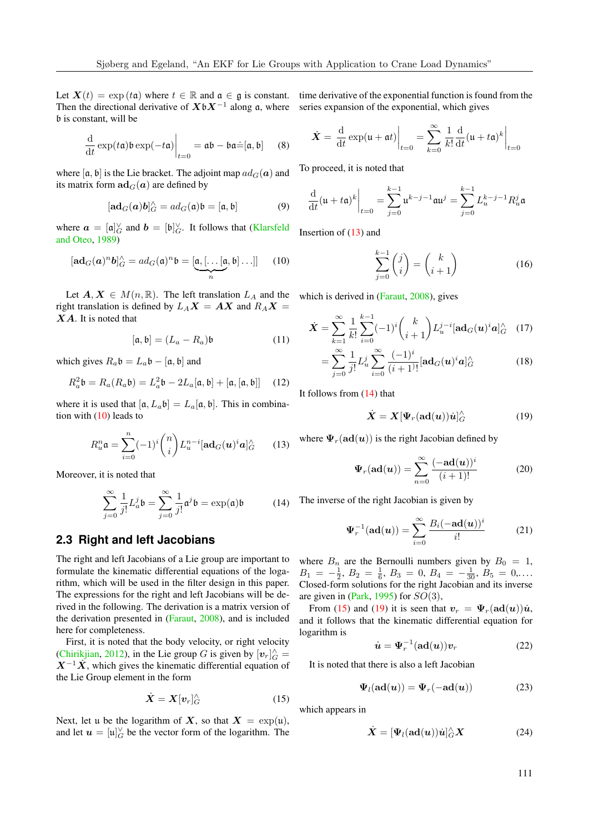Let  $\mathbf{X}(t) = \exp(t\mathfrak{a})$  where  $t \in \mathbb{R}$  and  $\mathfrak{a} \in \mathfrak{g}$  is constant. time derivative of the exponential function is found from the Then the directional derivative of  $X\mathfrak{b}X^{-1}$  along a, where b is constant, will be

$$
\left. \frac{\mathrm{d}}{\mathrm{d}t} \exp(t\mathfrak{a}) \mathfrak{b} \exp(-t\mathfrak{a}) \right|_{t=0} = \mathfrak{a} \mathfrak{b} - \mathfrak{b} \mathfrak{a} \dot{=} [\mathfrak{a}, \mathfrak{b}] \tag{8}
$$

where  $[a, b]$  is the Lie bracket. The adjoint map  $ad_G(a)$  and its matrix form  $ad_G(a)$  are defined by

<span id="page-2-8"></span>
$$
[\mathbf{ad}_G(\mathbf{a})\mathbf{b}]_G^\wedge = ad_G(\mathbf{a})\mathbf{b} = [\mathbf{a}, \mathbf{b}] \tag{9}
$$

where  $\boldsymbol{a} = [\mathfrak{a}]_G^{\vee}$  and  $\boldsymbol{b} = [\mathfrak{b}]_G^{\vee}$ . It follows that [\(Klarsfeld](#page-14-15) [and Oteo,](#page-14-15) [1989\)](#page-14-15)

<span id="page-2-0"></span>
$$
[\mathbf{ad}_G(\mathbf{a})^n \mathbf{b}]_G^\wedge = ad_G(\mathbf{a})^n \mathbf{b} = [\underbrace{\mathbf{a}, [\dots[\mathbf{a}, \mathbf{b}] \dots]}_n] \qquad (10)
$$

Let  $A, X \in M(n, \mathbb{R})$ . The left translation  $L_A$  and the right translation is defined by  $L_A X = AX$  and  $R_A X =$  $XA.$  It is noted that

$$
[\mathfrak{a}, \mathfrak{b}] = (L_a - R_a)\mathfrak{b} \tag{11}
$$

which gives  $R_a \mathfrak{b} = L_a \mathfrak{b} - [\mathfrak{a}, \mathfrak{b}]$  and

$$
R_a^2 \mathfrak{b} = R_a(R_a \mathfrak{b}) = L_a^2 \mathfrak{b} - 2L_a[\mathfrak{a}, \mathfrak{b}] + [\mathfrak{a}, [\mathfrak{a}, \mathfrak{b}]] \quad (12)
$$

where it is used that  $[a, L_a b] = L_a[a, b]$ . This in combination with  $(10)$  leads to

<span id="page-2-1"></span>
$$
R_u^n \mathfrak{a} = \sum_{i=0}^n (-1)^i \binom{n}{i} L_u^{n-i} [\mathbf{ad}_G(\mathbf{u})^i \mathbf{a}]_G^\wedge \qquad (13)
$$

Moreover, it is noted that

<span id="page-2-2"></span>
$$
\sum_{j=0}^{\infty} \frac{1}{j!} L_a^j \mathfrak{b} = \sum_{j=0}^{\infty} \frac{1}{j!} \mathfrak{a}^j \mathfrak{b} = \exp(\mathfrak{a}) \mathfrak{b}
$$
 (14)

#### **2.3 Right and left Jacobians**

The right and left Jacobians of a Lie group are important to formulate the kinematic differential equations of the logarithm, which will be used in the filter design in this paper. The expressions for the right and left Jacobians will be derived in the following. The derivation is a matrix version of the derivation presented in [\(Faraut,](#page-14-14) [2008\)](#page-14-14), and is included here for completeness.

First, it is noted that the body velocity, or right velocity [\(Chirikjian,](#page-14-4) [2012\)](#page-14-4), in the Lie group G is given by  $[v_r]_G^\wedge =$  $X^{-1}\dot{X}$ , which gives the kinematic differential equation of the Lie Group element in the form

<span id="page-2-3"></span>
$$
\dot{\boldsymbol{X}} = \boldsymbol{X}[\boldsymbol{v}_r]_G^\wedge \tag{15}
$$

Next, let u be the logarithm of X, so that  $X = \exp(u)$ , and let  $u = [\mathfrak{u}]_G^{\vee}$  be the vector form of the logarithm. The

series expansion of the exponential, which gives

$$
\dot{\boldsymbol{X}} = \left. \frac{\mathrm{d}}{\mathrm{d}t} \exp(\mathfrak{u} + \mathfrak{a}t) \right|_{t=0} = \sum_{k=0}^{\infty} \left. \frac{1}{k!} \frac{\mathrm{d}}{\mathrm{d}t} (\mathfrak{u} + t\mathfrak{a})^k \right|_{t=0}
$$

To proceed, it is noted that

$$
\frac{d}{dt}(u+t\mathfrak{a})^k\bigg|_{t=0} = \sum_{j=0}^{k-1} u^{k-j-1} \mathfrak{a} u^j = \sum_{j=0}^{k-1} L_u^{k-j-1} R_u^j \mathfrak{a}
$$

Insertion of  $(13)$  and

$$
\sum_{j=0}^{k-1} \binom{j}{i} = \binom{k}{i+1} \tag{16}
$$

which is derived in [\(Faraut,](#page-14-14) [2008\)](#page-14-14), gives

$$
\dot{\mathbf{X}} = \sum_{k=1}^{\infty} \frac{1}{k!} \sum_{i=0}^{k-1} (-1)^i \binom{k}{i+1} L_u^{j-i} [\mathbf{ad}_G(\mathbf{u})^i \mathbf{a}]_G^\wedge \quad (17)
$$
\n
$$
= \sum_{i=1}^{\infty} \frac{1}{i!} L_u^j \sum_{i=1}^{\infty} \frac{(-1)^i}{(i+1)!} [\mathbf{ad}_G(\mathbf{u})^i \mathbf{a}]_G^\wedge \qquad (18)
$$

$$
=\sum_{j=0}\frac{1}{j!}L^j_u\sum_{i=0}\frac{\frac{1}{(i+1)!}}{i+1!}[\mathbf{ad}_G(\boldsymbol{u})^i\boldsymbol{a}]^{\wedge}_G
$$

It follows from [\(14\)](#page-2-2) that

<span id="page-2-5"></span><span id="page-2-4"></span>
$$
\dot{\mathbf{X}} = \mathbf{X} [\Psi_r(\mathbf{ad}(u))\dot{u}]_G^\wedge \tag{19}
$$

where  $\Psi_r(\text{ad}(u))$  is the right Jacobian defined by

$$
\Psi_r(\mathbf{ad}(u)) = \sum_{n=0}^{\infty} \frac{(-\mathbf{ad}(u))^i}{(i+1)!}
$$
(20)

The inverse of the right Jacobian is given by

<span id="page-2-9"></span>
$$
\Psi_r^{-1}(\mathbf{ad}(\mathbf{u})) = \sum_{i=0}^{\infty} \frac{B_i(-\mathbf{ad}(\mathbf{u}))^i}{i!} \tag{21}
$$

where  $B_n$  are the Bernoulli numbers given by  $B_0 = 1$ ,  $B_1 = -\frac{1}{2}, B_2 = \frac{1}{6}, B_3 = 0, B_4 = -\frac{1}{30}, B_5 = 0, \ldots$ Closed-form solutions for the right Jacobian and its inverse are given in [\(Park,](#page-15-6) [1995\)](#page-15-6) for  $SO(3)$ ,

From [\(15\)](#page-2-3) and [\(19\)](#page-2-4) it is seen that  $v_r = \Psi_r(\text{ad}(u))\dot{u}$ , and it follows that the kinematic differential equation for logarithm is

<span id="page-2-7"></span>
$$
\dot{\boldsymbol{u}} = \boldsymbol{\Psi}_r^{-1}(\mathbf{ad}(\boldsymbol{u}))\boldsymbol{v}_r \tag{22}
$$

It is noted that there is also a left Jacobian

$$
\Psi_l(\mathbf{ad}(u)) = \Psi_r(-\mathbf{ad}(u)) \tag{23}
$$

which appears in

<span id="page-2-6"></span>
$$
\dot{\mathbf{X}} = [\Psi_l(\mathbf{ad}(\mathbf{u}))\dot{\mathbf{u}}]_G^\wedge \mathbf{X} \tag{24}
$$

111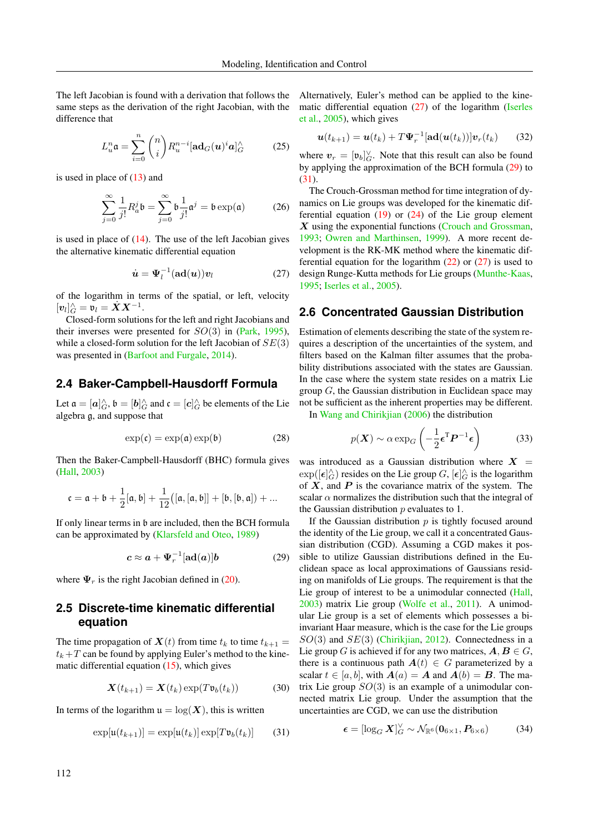The left Jacobian is found with a derivation that follows the same steps as the derivation of the right Jacobian, with the difference that

$$
L_u^n \mathfrak{a} = \sum_{i=0}^n \binom{n}{i} R_u^{n-i} [\mathbf{ad}_G(u)^i \mathbf{a}]_G^\wedge \tag{25}
$$

is used in place of  $(13)$  and

$$
\sum_{j=0}^{\infty} \frac{1}{j!} R_a^j \mathfrak{b} = \sum_{j=0}^{\infty} \mathfrak{b} \frac{1}{j!} \mathfrak{a}^j = \mathfrak{b} \exp(\mathfrak{a})
$$
 (26)

is used in place of  $(14)$ . The use of the left Jacobian gives the alternative kinematic differential equation

<span id="page-3-0"></span>
$$
\dot{\boldsymbol{u}} = \boldsymbol{\Psi}_l^{-1}(\mathbf{ad}(\boldsymbol{u}))\boldsymbol{v}_l \tag{27}
$$

of the logarithm in terms of the spatial, or left, velocity  $[\bm{v}_l]_G^\wedge = \check{\bm{\mathfrak{v}}}_l = \dot{\bm{X}}\bm{X}^{-1}.$ 

Closed-form solutions for the left and right Jacobians and their inverses were presented for  $SO(3)$  in [\(Park,](#page-15-6) [1995\)](#page-15-6), while a closed-form solution for the left Jacobian of  $SE(3)$ was presented in [\(Barfoot and Furgale,](#page-14-5) [2014\)](#page-14-5).

#### **2.4 Baker-Campbell-Hausdorff Formula**

Let  $\mathfrak{a} = [\boldsymbol{a}]_G^\wedge$ ,  $\mathfrak{b} = [\boldsymbol{b}]_G^\wedge$  and  $\mathfrak{c} = [\boldsymbol{c}]_G^\wedge$  be elements of the Lie algebra g, and suppose that

$$
\exp(\mathfrak{c}) = \exp(\mathfrak{a}) \exp(\mathfrak{b}) \tag{28}
$$

Then the Baker-Campbell-Hausdorff (BHC) formula gives [\(Hall,](#page-14-13) [2003\)](#page-14-13)

$$
\mathfrak{c}=\mathfrak{a}+\mathfrak{b}+\frac{1}{2}[\mathfrak{a},\mathfrak{b}]+\frac{1}{12}\big([\mathfrak{a},[\mathfrak{a},\mathfrak{b}]]+[\mathfrak{b},[\mathfrak{b},\mathfrak{a}])+...
$$

If only linear terms in b are included, then the BCH formula can be approximated by [\(Klarsfeld and Oteo,](#page-14-15) [1989\)](#page-14-15)

$$
c \approx a + \Psi_r^{-1}[\text{ad}(a)]b \tag{29}
$$

where  $\Psi_r$  is the right Jacobian defined in [\(20\)](#page-2-5).

### **2.5 Discrete-time kinematic differential equation**

The time propagation of  $\mathbf{X}(t)$  from time  $t_k$  to time  $t_{k+1} =$  $t_k+T$  can be found by applying Euler's method to the kinematic differential equation  $(15)$ , which gives

$$
\mathbf{X}(t_{k+1}) = \mathbf{X}(t_k) \exp(T \mathfrak{v}_b(t_k)) \tag{30}
$$

In terms of the logarithm  $u = \log(X)$ , this is written

<span id="page-3-2"></span>
$$
\exp[\mathfrak{u}(t_{k+1})] = \exp[\mathfrak{u}(t_k)] \exp[T\mathfrak{v}_b(t_k)] \qquad (31)
$$

Alternatively, Euler's method can be applied to the kinematic differential equation [\(27\)](#page-3-0) of the logarithm [\(Iserles](#page-14-16) [et al.,](#page-14-16) [2005\)](#page-14-16), which gives

$$
\boldsymbol{u}(t_{k+1}) = \boldsymbol{u}(t_k) + T\boldsymbol{\Psi}_r^{-1}[\mathbf{ad}(\boldsymbol{u}(t_k))] \boldsymbol{v}_r(t_k) \qquad (32)
$$

where  $v_r = [\mathfrak{v}_b]_G^{\vee}$ . Note that this result can also be found by applying the approximation of the BCH formula [\(29\)](#page-3-1) to [\(31\)](#page-3-2).

The Crouch-Grossman method for time integration of dynamics on Lie groups was developed for the kinematic differential equation  $(19)$  or  $(24)$  of the Lie group element X using the exponential functions [\(Crouch and Grossman,](#page-14-17) [1993;](#page-14-17) [Owren and Marthinsen,](#page-15-7) [1999\)](#page-15-7). A more recent development is the RK-MK method where the kinematic differential equation for the logarithm  $(22)$  or  $(27)$  is used to design Runge-Kutta methods for Lie groups [\(Munthe-Kaas,](#page-15-8) [1995;](#page-15-8) [Iserles et al.,](#page-14-16) [2005\)](#page-14-16).

#### **2.6 Concentrated Gaussian Distribution**

Estimation of elements describing the state of the system requires a description of the uncertainties of the system, and filters based on the Kalman filter assumes that the probability distributions associated with the states are Gaussian. In the case where the system state resides on a matrix Lie group  $G$ , the Gaussian distribution in Euclidean space may not be sufficient as the inherent properties may be different.

In [Wang and Chirikjian](#page-15-2) [\(2006\)](#page-15-2) the distribution

$$
p(\boldsymbol{X}) \sim \alpha \exp_G\left(-\frac{1}{2}\boldsymbol{\epsilon}^{\mathrm{T}}\boldsymbol{P}^{-1}\boldsymbol{\epsilon}\right) \tag{33}
$$

was introduced as a Gaussian distribution where  $X =$  $\exp([\epsilon]_G^\wedge)$  resides on the Lie group  $G$ ,  $[\epsilon]_G^\wedge$  is the logarithm of  $X$ , and  $P$  is the covariance matrix of the system. The scalar  $\alpha$  normalizes the distribution such that the integral of the Gaussian distribution  $p$  evaluates to 1.

<span id="page-3-1"></span>If the Gaussian distribution  $p$  is tightly focused around the identity of the Lie group, we call it a concentrated Gaussian distribution (CGD). Assuming a CGD makes it possible to utilize Gaussian distributions defined in the Euclidean space as local approximations of Gaussians residing on manifolds of Lie groups. The requirement is that the Lie group of interest to be a unimodular connected [\(Hall,](#page-14-13) [2003\)](#page-14-13) matrix Lie group [\(Wolfe et al.,](#page-15-3) [2011\)](#page-15-3). A unimodular Lie group is a set of elements which possesses a biinvariant Haar measure, which is the case for the Lie groups  $SO(3)$  and  $SE(3)$  [\(Chirikjian,](#page-14-4) [2012\)](#page-14-4). Connectedness in a Lie group G is achieved if for any two matrices,  $A, B \in G$ , there is a continuous path  $A(t) \in G$  parameterized by a scalar  $t \in [a, b]$ , with  $A(a) = A$  and  $A(b) = B$ . The matrix Lie group  $SO(3)$  is an example of a unimodular connected matrix Lie group. Under the assumption that the uncertainties are CGD, we can use the distribution

$$
\boldsymbol{\epsilon} = [\log_G \boldsymbol{X}]_G^{\vee} \sim \mathcal{N}_{\mathbb{R}^6}(\mathbf{0}_{6 \times 1}, \boldsymbol{P}_{6 \times 6}) \tag{34}
$$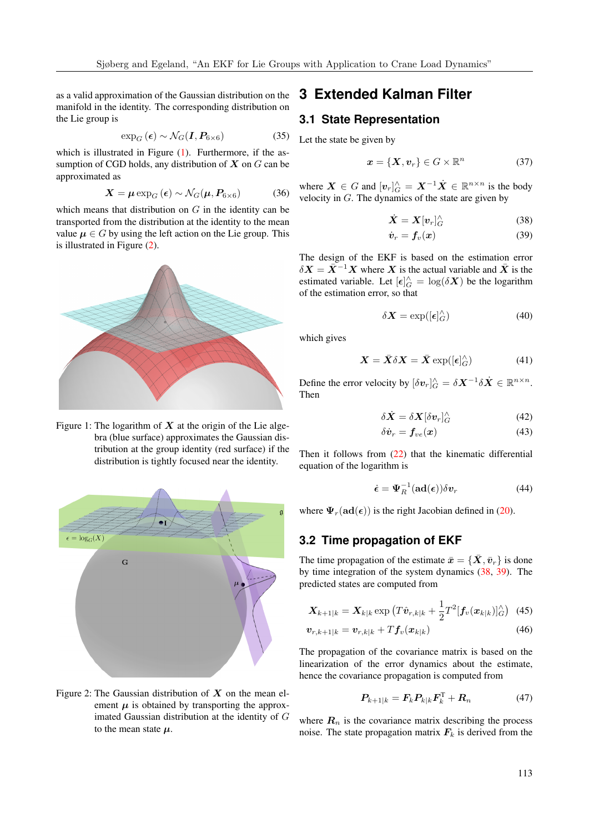as a valid approximation of the Gaussian distribution on the manifold in the identity. The corresponding distribution on the Lie group is

$$
\exp_G(\epsilon) \sim \mathcal{N}_G(I, P_{6 \times 6})
$$
\n(35)

which is illustrated in Figure  $(1)$ . Furthermore, if the assumption of CGD holds, any distribution of  $X$  on  $G$  can be approximated as

$$
\mathbf{X} = \boldsymbol{\mu} \exp_{G}(\boldsymbol{\epsilon}) \sim \mathcal{N}_{G}(\boldsymbol{\mu}, \boldsymbol{P}_{6 \times 6})
$$
(36)

which means that distribution on  $G$  in the identity can be transported from the distribution at the identity to the mean value  $\mu \in G$  by using the left action on the Lie group. This is illustrated in Figure [\(2\)](#page-4-1).



Figure 1: The logarithm of  $X$  at the origin of the Lie algebra (blue surface) approximates the Gaussian distribution at the group identity (red surface) if the distribution is tightly focused near the identity.



Figure 2: The Gaussian distribution of  $X$  on the mean element  $\mu$  is obtained by transporting the approximated Gaussian distribution at the identity of G to the mean state  $\mu$ .

# **3 Extended Kalman Filter**

#### **3.1 State Representation**

Let the state be given by

$$
\boldsymbol{x} = \{ \boldsymbol{X}, \boldsymbol{v}_r \} \in G \times \mathbb{R}^n \tag{37}
$$

where  $\mathbf{X} \in G$  and  $[\mathbf{v}_r]_G^{\wedge} = \mathbf{X}^{-1} \dot{\mathbf{X}} \in \mathbb{R}^{n \times n}$  is the body velocity in G. The dynamics of the state are given by

<span id="page-4-3"></span><span id="page-4-2"></span>
$$
\dot{\boldsymbol{X}} = \boldsymbol{X}[\boldsymbol{v}_r]_G^\wedge \tag{38}
$$

$$
\dot{\boldsymbol{v}}_r = \boldsymbol{f}_v(\boldsymbol{x}) \tag{39}
$$

The design of the EKF is based on the estimation error  $\delta X = \bar{X}^{-1} X$  where X is the actual variable and  $\bar{X}$  is the estimated variable. Let  $[\epsilon]_G^{\wedge} = \log(\delta X)$  be the logarithm of the estimation error, so that

$$
\delta \mathbf{X} = \exp([\boldsymbol{\epsilon}]_G^\wedge) \tag{40}
$$

which gives

$$
\mathbf{X} = \bar{\mathbf{X}} \delta \mathbf{X} = \bar{\mathbf{X}} \exp([\epsilon]_G^\wedge) \tag{41}
$$

<span id="page-4-0"></span>Define the error velocity by  $[\delta v_r]_G^\wedge = \delta \mathbf{X}^{-1} \delta \dot{\mathbf{X}} \in \mathbb{R}^{n \times n}$ . Then

$$
\delta \dot{\mathbf{X}} = \delta \mathbf{X} [\delta \mathbf{v}_r]_G^\wedge \tag{42}
$$

<span id="page-4-5"></span>
$$
\delta \dot{\boldsymbol{v}}_r = \boldsymbol{f}_{ve}(\boldsymbol{x}) \tag{43}
$$

Then it follows from  $(22)$  that the kinematic differential equation of the logarithm is

<span id="page-4-4"></span>
$$
\dot{\epsilon} = \Psi_R^{-1}(\text{ad}(\epsilon))\delta v_r \tag{44}
$$

where  $\Psi_r(\text{ad}(\epsilon))$  is the right Jacobian defined in [\(20\)](#page-2-5).

### **3.2 Time propagation of EKF**

The time propagation of the estimate  $\bar{x} = {\bar{X}, \bar{v}_r}$  is done by time integration of the system dynamics [\(38,](#page-4-2) [39\)](#page-4-3). The predicted states are computed from

$$
\boldsymbol{X}_{k+1|k} = \boldsymbol{X}_{k|k} \exp\left(T\hat{\boldsymbol{v}}_{r,k|k} + \frac{1}{2}T^2[\boldsymbol{f}_v(\boldsymbol{x}_{k|k})]_G^\wedge\right) \tag{45}
$$

$$
\boldsymbol{v}_{r,k+1|k} = \boldsymbol{v}_{r,k|k} + T \boldsymbol{f}_v(\boldsymbol{x}_{k|k}) \tag{46}
$$

<span id="page-4-1"></span>The propagation of the covariance matrix is based on the linearization of the error dynamics about the estimate, hence the covariance propagation is computed from

$$
\boldsymbol{P}_{k+1|k} = \boldsymbol{F}_k \boldsymbol{P}_{k|k} \boldsymbol{F}_k^{\mathrm{T}} + \boldsymbol{R}_n \tag{47}
$$

where  $R_n$  is the covariance matrix describing the process noise. The state propagation matrix  $F_k$  is derived from the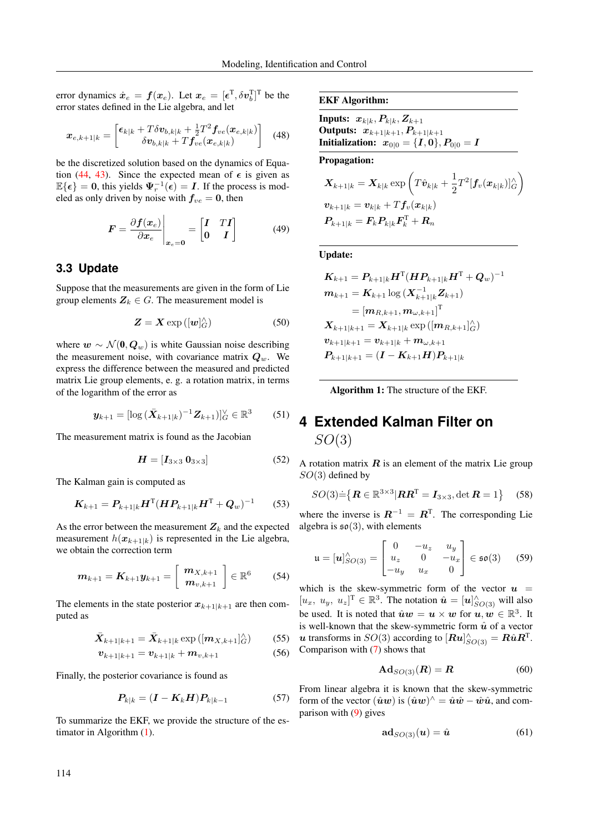error dynamics  $\dot{x}_e = f(x_e)$ . Let  $x_e = [\epsilon^{\text{T}}, \delta v_b^{\text{T}}]^{\text{T}}$  be the error states defined in the Lie algebra, and let

$$
\boldsymbol{x}_{e,k+1|k} = \begin{bmatrix} \boldsymbol{\epsilon}_{k|k} + T \delta \boldsymbol{v}_{b,k|k} + \frac{1}{2} T^2 \boldsymbol{f}_{ve}(\boldsymbol{x}_{e,k|k})\\ \delta \boldsymbol{v}_{b,k|k} + T \boldsymbol{f}_{ve}(\boldsymbol{x}_{e,k|k}) \end{bmatrix}
$$
(48)

be the discretized solution based on the dynamics of Equa-tion [\(44,](#page-4-4) [43\)](#page-4-5). Since the expected mean of  $\epsilon$  is given as  $\mathbb{E}\{\epsilon\} = \mathbf{0}$ , this yields  $\Psi_r^{-1}(\epsilon) = \mathbf{I}$ . If the process is modeled as only driven by noise with  $f_{ve} = 0$ , then

$$
F = \frac{\partial f(x_e)}{\partial x_e} \bigg|_{x_e=0} = \begin{bmatrix} I & TI \\ 0 & I \end{bmatrix}
$$
 (49)

### **3.3 Update**

Suppose that the measurements are given in the form of Lie group elements  $\mathbf{Z}_k \in G$ . The measurement model is

$$
Z = X \exp\left(\left[w\right]_G^{\wedge}\right) \tag{50}
$$

where  $w \sim \mathcal{N}(0, Q_w)$  is white Gaussian noise describing the measurement noise, with covariance matrix  $Q_w$ . We express the difference between the measured and predicted matrix Lie group elements, e. g. a rotation matrix, in terms of the logarithm of the error as

$$
\mathbf{y}_{k+1} = [\log (\bar{\mathbf{X}}_{k+1|k})^{-1} \mathbf{Z}_{k+1})]_G^{\vee} \in \mathbb{R}^3 \tag{51}
$$

The measurement matrix is found as the Jacobian

$$
\boldsymbol{H} = [\boldsymbol{I}_{3\times3} \, \boldsymbol{0}_{3\times3}] \tag{52}
$$

The Kalman gain is computed as

$$
K_{k+1} = P_{k+1|k} H^{T} (H P_{k+1|k} H^{T} + Q_w)^{-1}
$$
 (53)

As the error between the measurement  $\mathbf{Z}_k$  and the expected measurement  $h(\mathbf{x}_{k+1|k})$  is represented in the Lie algebra, we obtain the correction term

$$
\boldsymbol{m}_{k+1} = \boldsymbol{K}_{k+1} \boldsymbol{y}_{k+1} = \left[ \begin{array}{c} \boldsymbol{m}_{X,k+1} \\ \boldsymbol{m}_{v,k+1} \end{array} \right] \in \mathbb{R}^6 \qquad (54)
$$

The elements in the state posterior  $x_{k+1|k+1}$  are then computed as

$$
\bar{X}_{k+1|k+1} = \bar{X}_{k+1|k} \exp\left( [m_{X,k+1}]_G^{\wedge} \right) \tag{55}
$$

$$
\boldsymbol{v}_{k+1|k+1} = \boldsymbol{v}_{k+1|k} + \boldsymbol{m}_{v,k+1} \tag{56}
$$

Finally, the posterior covariance is found as

$$
\boldsymbol{P}_{k|k} = (\boldsymbol{I} - \boldsymbol{K}_k \boldsymbol{H}) \boldsymbol{P}_{k|k-1} \tag{57}
$$

<span id="page-5-0"></span>To summarize the EKF, we provide the structure of the estimator in Algorithm [\(1\)](#page-5-0).

EKF Algorithm:

**Inputs:**  $x_{k|k}, P_{k|k}, Z_{k+1}$ **Outputs:**  $x_{k+1|k+1}, P_{k+1|k+1}$ Initialization:  $x_{0|0} = \{I,0\}, P_{0|0} = I$ 

Propagation:

$$
\begin{aligned} \boldsymbol{X}_{k+1|k} &= \boldsymbol{X}_{k|k} \exp\left(T\hat{\boldsymbol{v}}_{k|k} + \frac{1}{2}T^2[\boldsymbol{f}_v(\boldsymbol{x}_{k|k})]_G^\wedge\right) \\ \boldsymbol{v}_{k+1|k} &= \boldsymbol{v}_{k|k} + T\boldsymbol{f}_v(\boldsymbol{x}_{k|k}) \\ \boldsymbol{P}_{k+1|k} &= \boldsymbol{F}_k \boldsymbol{P}_{k|k} \boldsymbol{F}_k^\mathrm{T} + \boldsymbol{R}_n \end{aligned}
$$

Update:

$$
\begin{aligned} \boldsymbol{K}_{k+1} &= \boldsymbol{P}_{k+1|k} \boldsymbol{H}^{\text{T}} (\boldsymbol{H} \boldsymbol{P}_{k+1|k} \boldsymbol{H}^{\text{T}} + \boldsymbol{Q}_{w})^{-1} \\ \boldsymbol{m}_{k+1} &= \boldsymbol{K}_{k+1} \log{(\boldsymbol{X}_{k+1|k}^{-1} \boldsymbol{Z}_{k+1})} \\ &= [\boldsymbol{m}_{R,k+1}, \boldsymbol{m}_{\omega,k+1}]^{\text{T}} \\ \boldsymbol{X}_{k+1|k+1} &= \boldsymbol{X}_{k+1|k} \exp{([\boldsymbol{m}_{R,k+1}]_{G}^{\wedge})} \\ \boldsymbol{v}_{k+1|k+1} &= \boldsymbol{v}_{k+1|k} + \boldsymbol{m}_{\omega,k+1} \\ \boldsymbol{P}_{k+1|k+1} &= (\boldsymbol{I} - \boldsymbol{K}_{k+1} \boldsymbol{H}) \boldsymbol{P}_{k+1|k} \end{aligned}
$$

Algorithm 1: The structure of the EKF.

# <span id="page-5-1"></span>**4 Extended Kalman Filter on**  $SO(3)$

A rotation matrix  $\bf{R}$  is an element of the matrix Lie group  $SO(3)$  defined by

$$
SO(3) \doteq \{ \boldsymbol{R} \in \mathbb{R}^{3 \times 3} | \boldsymbol{R} \boldsymbol{R}^{\mathrm{T}} = \boldsymbol{I}_{3 \times 3}, \det \boldsymbol{R} = 1 \}
$$
 (58)

where the inverse is  $R^{-1} = R^{T}$ . The corresponding Lie algebra is  $\mathfrak{so}(3)$ , with elements

$$
\mathfrak{u} = [\boldsymbol{u}]_{SO(3)}^{\wedge} = \begin{bmatrix} 0 & -u_z & u_y \\ u_z & 0 & -u_x \\ -u_y & u_x & 0 \end{bmatrix} \in \mathfrak{so}(3) \quad (59)
$$

which is the skew-symmetric form of the vector  $u =$  $[u_x, u_y, u_z]^\text{T} \in \mathbb{R}^3$ . The notation  $\hat{u} = [u]^\wedge_{SO(3)}$  will also be used. It is noted that  $\hat{u}w = u \times w$  for  $u, w \in \mathbb{R}^3$ . It is well-known that the skew-symmetric form  $\hat{u}$  of a vector  $\boldsymbol{u}$  transforms in  $SO(3)$  according to  $[\boldsymbol{R}\boldsymbol{u}]_{SO(3)}^{\wedge} = \boldsymbol{R}\hat{\boldsymbol{u}}\boldsymbol{R}^{\text{T}}$ . Comparison with [\(7\)](#page-1-0) shows that

$$
\mathbf{Ad}_{SO(3)}(\mathbf{R}) = \mathbf{R} \tag{60}
$$

From linear algebra it is known that the skew-symmetric form of the vector  $(\hat{u}w)$  is  $(\hat{u}w)^{\wedge} = \hat{u}\hat{w} - \hat{w}\hat{u}$ , and comparison with [\(9\)](#page-2-8) gives

$$
\mathbf{ad}_{SO(3)}(\mathbf{u}) = \hat{\mathbf{u}} \tag{61}
$$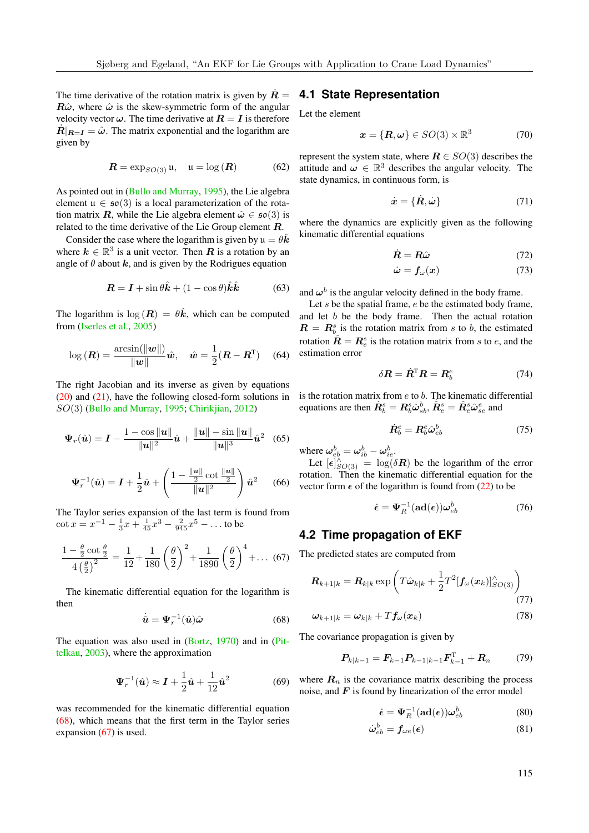The time derivative of the rotation matrix is given by  $\dot{R} =$  $R\hat{\omega}$ , where  $\hat{\omega}$  is the skew-symmetric form of the angular velocity vector  $\omega$ . The time derivative at  $R = I$  is therefore  $\dot{R}|_{R=I} = \hat{\omega}$ . The matrix exponential and the logarithm are given by

$$
\boldsymbol{R} = \exp_{SO(3)} \mathfrak{u}, \quad \mathfrak{u} = \log\left(\boldsymbol{R}\right) \tag{62}
$$

As pointed out in [\(Bullo and Murray,](#page-14-18) [1995\)](#page-14-18), the Lie algebra element  $\mu \in \mathfrak{so}(3)$  is a local parameterization of the rotation matrix R, while the Lie algebra element  $\hat{\omega} \in \mathfrak{so}(3)$  is related to the time derivative of the Lie Group element R.

Consider the case where the logarithm is given by  $\mathfrak{u} = \theta \hat{k}$ where  $k \in \mathbb{R}^3$  is a unit vector. Then **R** is a rotation by an angle of  $\theta$  about  $k$ , and is given by the Rodrigues equation

$$
\mathbf{R} = \mathbf{I} + \sin\theta \hat{\mathbf{k}} + (1 - \cos\theta)\hat{\mathbf{k}}\hat{\mathbf{k}} \tag{63}
$$

The logarithm is  $\log(R) = \theta \hat{k}$ , which can be computed from [\(Iserles et al.,](#page-14-16) [2005\)](#page-14-16)

$$
\log(\boldsymbol{R}) = \frac{\arcsin(\|\boldsymbol{w}\|)}{\|\boldsymbol{w}\|} \hat{\boldsymbol{w}}, \quad \hat{\boldsymbol{w}} = \frac{1}{2}(\boldsymbol{R} - \boldsymbol{R}^{\mathrm{T}}) \quad (64)
$$

The right Jacobian and its inverse as given by equations [\(20\)](#page-2-5) and [\(21\)](#page-2-9), have the following closed-form solutions in SO(3) [\(Bullo and Murray,](#page-14-18) [1995;](#page-14-18) [Chirikjian,](#page-14-4) [2012\)](#page-14-4)

$$
\Psi_r(\hat{u}) = I - \frac{1 - \cos ||u||}{||u||^2} \hat{u} + \frac{||u|| - \sin ||u||}{||u||^3} \hat{u}^2
$$
 (65)

$$
\Psi_r^{-1}(\hat{\bm{u}}) = \bm{I} + \frac{1}{2}\hat{\bm{u}} + \left(\frac{1 - \frac{\|\bm{u}\|}{2}\cot\frac{\|\bm{u}\|}{2}}{\|\bm{u}\|^2}\right)\hat{\bm{u}}^2 \quad (66)
$$

The Taylor series expansion of the last term is found from  $\cot x = x^{-1} - \frac{1}{3}x + \frac{1}{45}x^3 - \frac{2}{945}x^5 - \dots$  to be

<span id="page-6-1"></span>
$$
\frac{1 - \frac{\theta}{2}\cot\frac{\theta}{2}}{4\left(\frac{\theta}{2}\right)^2} = \frac{1}{12} + \frac{1}{180}\left(\frac{\theta}{2}\right)^2 + \frac{1}{1890}\left(\frac{\theta}{2}\right)^4 + \dots (67)
$$

The kinematic differential equation for the logarithm is then

<span id="page-6-0"></span>
$$
\dot{\hat{u}} = \Psi_r^{-1}(\hat{u})\hat{\omega} \tag{68}
$$

The equation was also used in [\(Bortz,](#page-14-19) [1970\)](#page-14-19) and in [\(Pit](#page-15-1)[telkau,](#page-15-1) [2003\)](#page-15-1), where the approximation

$$
\Psi_r^{-1}(\hat{u}) \approx I + \frac{1}{2}\hat{u} + \frac{1}{12}\hat{u}^2 \tag{69}
$$

was recommended for the kinematic differential equation [\(68\)](#page-6-0), which means that the first term in the Taylor series expansion [\(67\)](#page-6-1) is used.

### **4.1 State Representation**

Let the element

$$
\boldsymbol{x} = \{ \boldsymbol{R}, \boldsymbol{\omega} \} \in SO(3) \times \mathbb{R}^3 \tag{70}
$$

represent the system state, where  $\mathbf{R} \in SO(3)$  describes the attitude and  $\omega \in \mathbb{R}^3$  describes the angular velocity. The state dynamics, in continuous form, is

$$
\dot{x} = \{\dot{R}, \dot{\omega}\}\tag{71}
$$

where the dynamics are explicitly given as the following kinematic differential equations

$$
\dot{\boldsymbol{R}} = \boldsymbol{R}\hat{\boldsymbol{\omega}} \tag{72}
$$

$$
\dot{\omega} = f_{\omega}(x) \tag{73}
$$

<span id="page-6-2"></span>and  $\omega^b$  is the angular velocity defined in the body frame.

Let  $s$  be the spatial frame,  $e$  be the estimated body frame, and let  $b$  be the body frame. Then the actual rotation  $\mathbf{R} = \mathbf{R}_{b}^{s}$  is the rotation matrix from s to b, the estimated rotation  $\hat{R} = R_e^s$  is the rotation matrix from s to e, and the estimation error

$$
\delta \boldsymbol{R} = \hat{\boldsymbol{R}}^{\mathrm{T}} \boldsymbol{R} = \boldsymbol{R}_b^e \tag{74}
$$

is the rotation matrix from  $e$  to  $b$ . The kinematic differential equations are then  $\dot{R}_b^s = R_b^s \hat{\omega}_{sb}^b$ ,  $\hat{R}_e^s = \hat{R}_e^s \hat{\omega}_{se}^e$  and

$$
\dot{\boldsymbol{R}}_b^e = \boldsymbol{R}_b^e \hat{\boldsymbol{\omega}}_{eb}^b \tag{75}
$$

where  $\boldsymbol{\omega}_{eb}^b = \boldsymbol{\omega}_{ib}^b - \boldsymbol{\omega}_{ie}^b$ .

Let  $[\epsilon]_{SO(3)}^{\wedge} = \log(\delta \mathbf{R})$  be the logarithm of the error rotation. Then the kinematic differential equation for the vector form  $\epsilon$  of the logarithm is found from [\(22\)](#page-2-7) to be

$$
\dot{\boldsymbol{\epsilon}} = \boldsymbol{\Psi}_R^{-1}(\mathrm{ad}(\boldsymbol{\epsilon})) \boldsymbol{\omega}_{eb}^b \tag{76}
$$

#### **4.2 Time propagation of EKF**

The predicted states are computed from

$$
\boldsymbol{R}_{k+1|k} = \boldsymbol{R}_{k|k} \exp\left(T\hat{\boldsymbol{\omega}}_{k|k} + \frac{1}{2}T^2[\boldsymbol{f}_{\omega}(\boldsymbol{x}_k)]^{\wedge}_{SO(3)}\right)
$$
(77)

$$
\omega_{k+1|k} = \omega_{k|k} + Tf_{\omega}(x_k)
$$
\n(78)

The covariance propagation is given by

$$
P_{k|k-1} = F_{k-1}P_{k-1|k-1}F_{k-1}^{T} + R_{n}
$$
 (79)

where  $R_n$  is the covariance matrix describing the process noise, and  $\boldsymbol{F}$  is found by linearization of the error model

$$
\dot{\boldsymbol{\epsilon}} = \boldsymbol{\Psi}_R^{-1}(\mathrm{ad}(\boldsymbol{\epsilon})) \boldsymbol{\omega}_{eb}^b \tag{80}
$$

$$
\dot{\omega}_{eb}^b = f_{\omega e}(\epsilon) \tag{81}
$$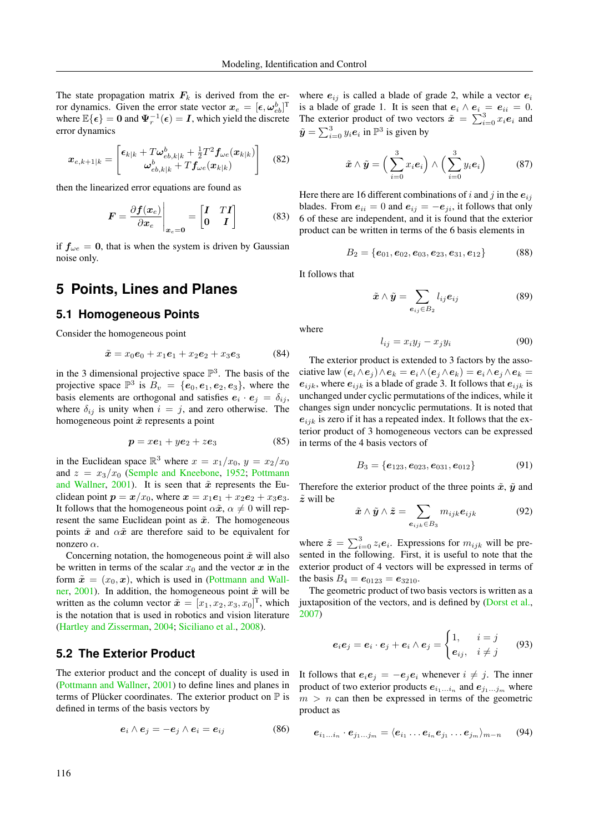The state propagation matrix  $F_k$  is derived from the error dynamics. Given the error state vector  $x_e = [\epsilon, \omega_{eb}^b]^T$ where  $\mathbb{E}\{\epsilon\} = 0$  and  $\Psi_r^{-1}(\epsilon) = I$ , which yield the discrete error dynamics

$$
\boldsymbol{x}_{e,k+1|k} = \begin{bmatrix} \boldsymbol{\epsilon}_{k|k} + T\boldsymbol{\omega}_{eb,k|k}^b + \frac{1}{2}T^2\boldsymbol{f}_{\omega e}(\boldsymbol{x}_{k|k})\\ \boldsymbol{\omega}_{eb,k|k}^b + T\boldsymbol{f}_{\omega e}(\boldsymbol{x}_{k|k}) \end{bmatrix}
$$
(82)

then the linearized error equations are found as

$$
F = \frac{\partial f(x_e)}{\partial x_e} \bigg|_{x_e=0} = \begin{bmatrix} I & TI \\ 0 & I \end{bmatrix}
$$
 (83)

if  $f_{\omega e} = 0$ , that is when the system is driven by Gaussian noise only.

### **5 Points, Lines and Planes**

#### **5.1 Homogeneous Points**

Consider the homogeneous point

$$
\tilde{\boldsymbol{x}} = x_0 \boldsymbol{e}_0 + x_1 \boldsymbol{e}_1 + x_2 \boldsymbol{e}_2 + x_3 \boldsymbol{e}_3 \tag{84}
$$

in the 3 dimensional projective space  $\mathbb{P}^3$ . The basis of the projective space  $\mathbb{P}^3$  is  $B_v = \{e_0, e_1, e_2, e_3\}$ , where the basis elements are orthogonal and satisfies  $e_i \cdot e_j = \delta_{ij}$ , where  $\delta_{ij}$  is unity when  $i = j$ , and zero otherwise. The homogeneous point  $\tilde{x}$  represents a point

$$
p = xe1 + ye2 + ze3
$$
 (85)

in the Euclidean space  $\mathbb{R}^3$  where  $x = x_1/x_0$ ,  $y = x_2/x_0$ and  $z = x_3/x_0$  [\(Semple and Kneebone,](#page-15-9) [1952;](#page-15-9) [Pottmann](#page-15-10) [and Wallner,](#page-15-10) [2001\)](#page-15-10). It is seen that  $\tilde{x}$  represents the Euclidean point  $p = x/x_0$ , where  $x = x_1e_1 + x_2e_2 + x_3e_3$ . It follows that the homogeneous point  $\alpha \tilde{\mathbf{x}}, \alpha \neq 0$  will represent the same Euclidean point as  $\tilde{x}$ . The homogeneous points  $\tilde{x}$  and  $\alpha \tilde{x}$  are therefore said to be equivalent for nonzero α.

Concerning notation, the homogeneous point  $\tilde{x}$  will also be written in terms of the scalar  $x_0$  and the vector x in the form  $\tilde{\boldsymbol{x}} = (x_0, \boldsymbol{x})$ , which is used in [\(Pottmann and Wall](#page-15-10)[ner,](#page-15-10) [2001\)](#page-15-10). In addition, the homogeneous point  $\tilde{x}$  will be written as the column vector  $\tilde{\boldsymbol{x}} = [x_1, x_2, x_3, x_0]^\text{T}$ , which is the notation that is used in robotics and vision literature [\(Hartley and Zisserman,](#page-14-20) [2004;](#page-14-20) [Siciliano et al.,](#page-15-11) [2008\)](#page-15-11).

#### **5.2 The Exterior Product**

The exterior product and the concept of duality is used in [\(Pottmann and Wallner,](#page-15-10) [2001\)](#page-15-10) to define lines and planes in terms of Plücker coordinates. The exterior product on  $\mathbb P$  is defined in terms of the basis vectors by

$$
e_i \wedge e_j = -e_j \wedge e_i = e_{ij} \tag{86}
$$

where  $e_{ij}$  is called a blade of grade 2, while a vector  $e_i$ is a blade of grade 1. It is seen that  $e_i \wedge e_i = e_{ii} = 0$ . The exterior product of two vectors  $\tilde{x} = \sum_{i=0}^{3} x_i e_i$  and  $\tilde{y} = \sum_{i=0}^{3} y_i e_i$  in  $\mathbb{P}^3$  is given by

$$
\tilde{\boldsymbol{x}} \wedge \tilde{\boldsymbol{y}} = \left(\sum_{i=0}^{3} x_i \boldsymbol{e}_i\right) \wedge \left(\sum_{i=0}^{3} y_i \boldsymbol{e}_i\right) \tag{87}
$$

Here there are 16 different combinations of i and j in the  $e_{ij}$ blades. From  $e_{ii} = 0$  and  $e_{ij} = -e_{ji}$ , it follows that only 6 of these are independent, and it is found that the exterior product can be written in terms of the 6 basis elements in

$$
B_2 = \{e_{01}, e_{02}, e_{03}, e_{23}, e_{31}, e_{12}\}\tag{88}
$$

It follows that

$$
\tilde{\boldsymbol{x}} \wedge \tilde{\boldsymbol{y}} = \sum_{\boldsymbol{e}_{ij} \in B_2} l_{ij} \boldsymbol{e}_{ij}
$$
 (89)

where

<span id="page-7-0"></span>
$$
l_{ij} = x_i y_j - x_j y_i \tag{90}
$$

The exterior product is extended to 3 factors by the associative law  $(e_i \wedge e_j) \wedge e_k = e_i \wedge (e_j \wedge e_k) = e_i \wedge e_j \wedge e_k =$  $e_{ijk}$ , where  $e_{ijk}$  is a blade of grade 3. It follows that  $e_{ijk}$  is unchanged under cyclic permutations of the indices, while it changes sign under noncyclic permutations. It is noted that  $e_{ijk}$  is zero if it has a repeated index. It follows that the exterior product of 3 homogeneous vectors can be expressed in terms of the 4 basis vectors of

$$
B_3 = \{e_{123}, e_{023}, e_{031}, e_{012}\}\tag{91}
$$

Therefore the exterior product of the three points  $\tilde{x}$ ,  $\tilde{y}$  and  $\tilde{z}$  will be

 $\tilde{x}$ 

$$
\wedge \tilde{\boldsymbol{y}} \wedge \tilde{\boldsymbol{z}} = \sum_{\boldsymbol{e}_{ijk} \in B_3} m_{ijk} \boldsymbol{e}_{ijk} \tag{92}
$$

where  $\tilde{z} = \sum_{i=0}^{3} z_i e_i$ . Expressions for  $m_{ijk}$  will be presented in the following. First, it is useful to note that the exterior product of 4 vectors will be expressed in terms of the basis  $B_4 = e_{0123} = e_{3210}$ .

The geometric product of two basis vectors is written as a juxtaposition of the vectors, and is defined by [\(Dorst et al.,](#page-14-21) [2007\)](#page-14-21)

$$
e_i e_j = e_i \cdot e_j + e_i \wedge e_j = \begin{cases} 1, & i = j \\ e_{ij}, & i \neq j \end{cases}
$$
 (93)

It follows that  $e_i e_j = -e_j e_i$  whenever  $i \neq j$ . The inner product of two exterior products  $e_{i_1...i_n}$  and  $e_{j_1...j_m}$  where  $m > n$  can then be expressed in terms of the geometric product as

$$
\boldsymbol{e}_{i_1...i_n} \cdot \boldsymbol{e}_{j_1...j_m} = \langle \boldsymbol{e}_{i_1} \dots \boldsymbol{e}_{i_n} \boldsymbol{e}_{j_1} \dots \boldsymbol{e}_{j_m} \rangle_{m-n}
$$
(94)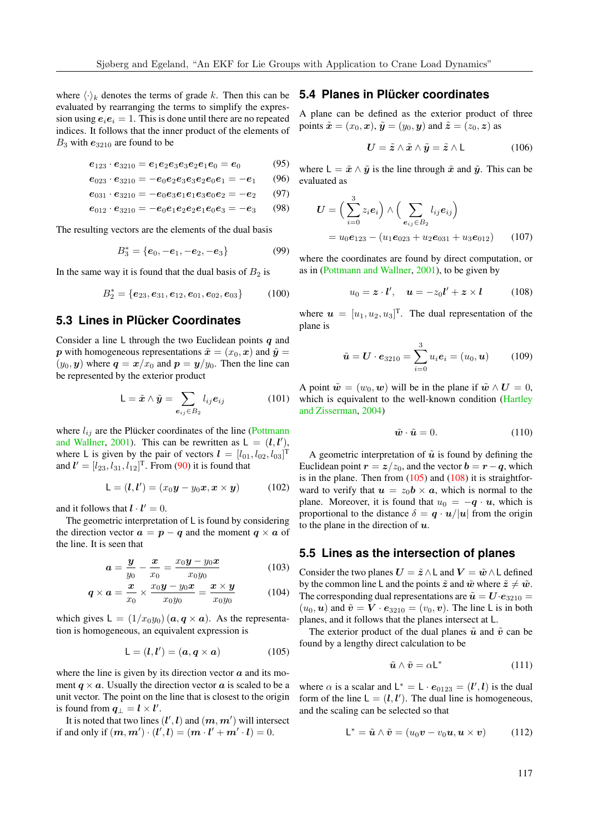where  $\langle \cdot \rangle_k$  denotes the terms of grade k. Then this can be evaluated by rearranging the terms to simplify the expression using  $e_i e_i = 1$ . This is done until there are no repeated indices. It follows that the inner product of the elements of  $B_3$  with  $e_{3210}$  are found to be

$$
e_{123} \cdot e_{3210} = e_1 e_2 e_3 e_3 e_2 e_1 e_0 = e_0 \tag{95}
$$

$$
e_{023} \cdot e_{3210} = -e_0 e_2 e_3 e_3 e_2 e_0 e_1 = -e_1 \qquad (96)
$$

$$
e_{031} \cdot e_{3210} = -e_0 e_3 e_1 e_1 e_3 e_0 e_2 = -e_2 \qquad (97)
$$

$$
e_{012} \cdot e_{3210} = -e_0 e_1 e_2 e_2 e_1 e_0 e_3 = -e_3 \qquad (98)
$$

The resulting vectors are the elements of the dual basis

$$
B_3^* = \{e_0, -e_1, -e_2, -e_3\} \tag{99}
$$

In the same way it is found that the dual basis of  $B_2$  is

$$
B_2^* = \{e_{23}, e_{31}, e_{12}, e_{01}, e_{02}, e_{03}\}\tag{100}
$$

### **5.3 Lines in Plücker Coordinates**

Consider a line  $\mathsf L$  through the two Euclidean points  $q$  and p with homogeneous representations  $\tilde{x} = (x_0, x)$  and  $\tilde{y} =$  $(y_0, y)$  where  $q = x/x_0$  and  $p = y/y_0$ . Then the line can be represented by the exterior product

$$
\mathsf{L} = \tilde{\boldsymbol{x}} \wedge \tilde{\boldsymbol{y}} = \sum_{\boldsymbol{e}_{ij} \in B_2} l_{ij} \boldsymbol{e}_{ij} \tag{101}
$$

where  $l_{ij}$  are the Plücker coordinates of the line ([Pottmann](#page-15-10) [and Wallner,](#page-15-10) [2001\)](#page-15-10). This can be rewritten as  $\mathsf{L} = (l, l'),$ where L is given by the pair of vectors  $\mathbf{l} = [l_{01}, l_{02}, l_{03}]^{\text{T}}$ and  $\mathbf{l}' = [l_{23}, l_{31}, l_{12}]^{\text{T}}$ . From [\(90\)](#page-7-0) it is found that

$$
\mathsf{L} = (\mathbf{l}, \mathbf{l}') = (x_0 \mathbf{y} - y_0 \mathbf{x}, \mathbf{x} \times \mathbf{y}) \tag{102}
$$

and it follows that  $\mathbf{l} \cdot \mathbf{l}' = 0$ .

The geometric interpretation of L is found by considering the direction vector  $a = p - q$  and the moment  $q \times a$  of the line. It is seen that

$$
a = \frac{y}{y_0} - \frac{x}{x_0} = \frac{x_0 y - y_0 x}{x_0 y_0}
$$
 (103)

$$
\boldsymbol{q} \times \boldsymbol{a} = \frac{\boldsymbol{x}}{x_0} \times \frac{x_0 \boldsymbol{y} - y_0 \boldsymbol{x}}{x_0 y_0} = \frac{\boldsymbol{x} \times \boldsymbol{y}}{x_0 y_0} \tag{104}
$$

which gives  $\mathsf{L} = (1/x_0y_0)(\mathbf{a}, \mathbf{q} \times \mathbf{a})$ . As the representation is homogeneous, an equivalent expression is

<span id="page-8-0"></span>
$$
\mathsf{L} = (\mathbf{l}, \mathbf{l}') = (\mathbf{a}, \mathbf{q} \times \mathbf{a}) \tag{105}
$$

where the line is given by its direction vector  $\alpha$  and its moment  $q \times a$ . Usually the direction vector a is scaled to be a unit vector. The point on the line that is closest to the origin is found from  $q_{\perp} = l \times l'$ .

It is noted that two lines  $(l', l)$  and  $(m, m')$  will intersect if and only if  $(m, m') \cdot (l', l) = (m \cdot l' + m' \cdot l) = 0.$ 

#### **5.4 Planes in Plücker coordinates**

A plane can be defined as the exterior product of three points  $\tilde{\boldsymbol{x}} = (x_0, \boldsymbol{x}), \tilde{\boldsymbol{y}} = (y_0, \boldsymbol{y})$  and  $\tilde{\boldsymbol{z}} = (z_0, \boldsymbol{z})$  as

$$
U = \tilde{z} \wedge \tilde{x} \wedge \tilde{y} = \tilde{z} \wedge L \tag{106}
$$

where  $\mathsf{L} = \tilde{x} \wedge \tilde{y}$  is the line through  $\tilde{x}$  and  $\tilde{y}$ . This can be evaluated as

$$
U = \left(\sum_{i=0}^{3} z_i e_i\right) \wedge \left(\sum_{e_{ij} \in B_2} l_{ij} e_{ij}\right)
$$
  
=  $u_0 e_{123} - \left(u_1 e_{023} + u_2 e_{031} + u_3 e_{012}\right)$  (107)

where the coordinates are found by direct computation, or as in [\(Pottmann and Wallner,](#page-15-10) [2001\)](#page-15-10), to be given by

<span id="page-8-1"></span>
$$
u_0 = \boldsymbol{z} \cdot \boldsymbol{l}', \quad \boldsymbol{u} = -z_0 \boldsymbol{l}' + \boldsymbol{z} \times \boldsymbol{l} \tag{108}
$$

where  $u = [u_1, u_2, u_3]^T$ . The dual representation of the plane is

$$
\tilde{\bm{u}} = \bm{U} \cdot \bm{e}_{3210} = \sum_{i=0}^{3} u_i \bm{e}_i = (u_0, \bm{u}) \quad (109)
$$

A point  $\tilde{\mathbf{w}} = (w_0, \mathbf{w})$  will be in the plane if  $\tilde{\mathbf{w}} \wedge \mathbf{U} = 0$ , which is equivalent to the well-known condition [\(Hartley](#page-14-20) [and Zisserman,](#page-14-20) [2004\)](#page-14-20)

$$
\tilde{\boldsymbol{w}} \cdot \tilde{\boldsymbol{u}} = 0. \tag{110}
$$

A geometric interpretation of  $\tilde{u}$  is found by defining the Euclidean point  $r = z/z_0$ , and the vector  $b = r - q$ , which is in the plane. Then from  $(105)$  and  $(108)$  it is straightforward to verify that  $u = z_0 b \times a$ , which is normal to the plane. Moreover, it is found that  $u_0 = -q \cdot u$ , which is proportional to the distance  $\delta = \mathbf{q} \cdot \mathbf{u}/|\mathbf{u}|$  from the origin to the plane in the direction of  $u$ .

#### **5.5 Lines as the intersection of planes**

Consider the two planes  $U = \tilde{z} \wedge L$  and  $V = \tilde{w} \wedge L$  defined by the common line L and the points  $\tilde{z}$  and  $\tilde{w}$  where  $\tilde{z} \neq \tilde{w}$ . The corresponding dual representations are  $\tilde{u} = U \cdot e_{3210} =$  $(u_0, u)$  and  $\tilde{\mathbf{v}} = \mathbf{V} \cdot \mathbf{e}_{3210} = (v_0, v)$ . The line L is in both planes, and it follows that the planes intersect at L.

The exterior product of the dual planes  $\tilde{u}$  and  $\tilde{v}$  can be found by a lengthy direct calculation to be

$$
\tilde{\boldsymbol{u}} \wedge \tilde{\boldsymbol{v}} = \alpha \mathsf{L}^* \tag{111}
$$

where  $\alpha$  is a scalar and  $L^* = L \cdot e_{0123} = (l', l)$  is the dual form of the line  $L = (l, l')$ . The dual line is homogeneous, and the scaling can be selected so that

<span id="page-8-2"></span>
$$
\mathsf{L}^* = \tilde{\boldsymbol{u}} \wedge \tilde{\boldsymbol{v}} = (u_0 \boldsymbol{v} - v_0 \boldsymbol{u}, \boldsymbol{u} \times \boldsymbol{v}) \tag{112}
$$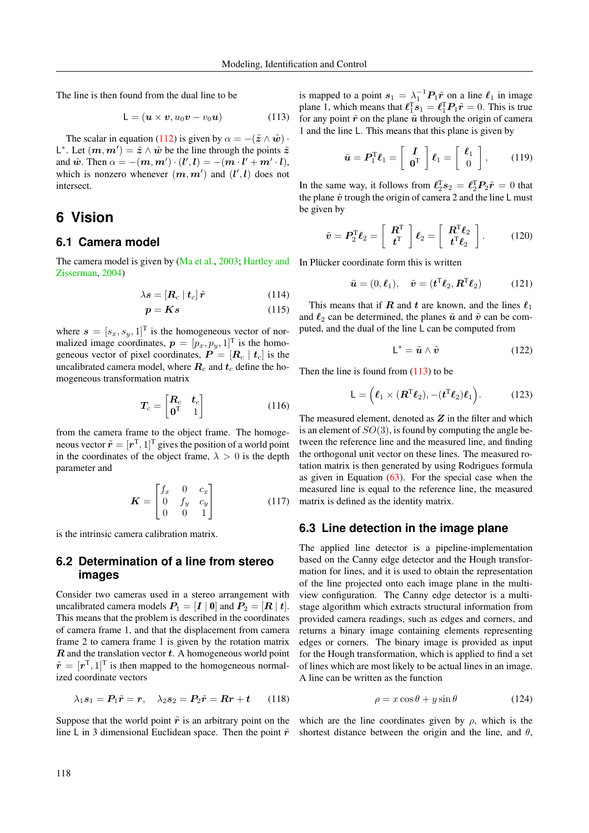The line is then found from the dual line to be

<span id="page-9-0"></span>
$$
\mathsf{L} = (\mathbf{u} \times \mathbf{v}, u_0 \mathbf{v} - v_0 \mathbf{u}) \tag{113}
$$

The scalar in equation [\(112\)](#page-8-2) is given by  $\alpha = -(\tilde{z} \wedge \tilde{w})$ . L<sup>\*</sup>. Let  $(m, m') = \tilde{z} \wedge \tilde{w}$  be the line through the points  $\tilde{z}$ and  $\tilde{w}$ . Then  $\alpha = -(m, m') \cdot (l', l) = -(m \cdot l' + m' \cdot l),$ which is nonzero whenever  $(m, m')$  and  $(l', l)$  does not intersect.

# **6 Vision**

#### **6.1 Camera model**

The camera model is given by [\(Ma et al.,](#page-15-12) [2003;](#page-15-12) [Hartley and](#page-14-20) In Plücker coordinate form this is written [Zisserman,](#page-14-20) [2004\)](#page-14-20)

$$
\lambda s = \left[\mathbf{R}_c \mid \mathbf{t}_c\right] \tilde{\mathbf{r}} \tag{114}
$$

$$
p = Ks \tag{115}
$$

where  $s = [s_x, s_y, 1]^T$  is the homogeneous vector of normalized image coordinates,  $p = [p_x, p_y, 1]^\text{T}$  is the homogeneous vector of pixel coordinates,  $P = [R_c | t_c]$  is the uncalibrated camera model, where  $R_c$  and  $t_c$  define the homogeneous transformation matrix

$$
T_c = \begin{bmatrix} R_c & t_c \\ 0^T & 1 \end{bmatrix} \tag{116}
$$

from the camera frame to the object frame. The homogeneous vector  $\tilde{\boldsymbol{r}} = [\boldsymbol{r}^{\mathrm{T}}, 1]^{\mathrm{T}}$  gives the position of a world point in the coordinates of the object frame,  $\lambda > 0$  is the depth parameter and

$$
\boldsymbol{K} = \begin{bmatrix} f_x & 0 & c_x \\ 0 & f_y & c_y \\ 0 & 0 & 1 \end{bmatrix}
$$
 (117)

is the intrinsic camera calibration matrix.

### **6.2 Determination of a line from stereo images**

Consider two cameras used in a stereo arrangement with uncalibrated camera models  $P_1 = [I | 0]$  and  $P_2 = [R | t]$ . This means that the problem is described in the coordinates of camera frame 1, and that the displacement from camera frame 2 to camera frame 1 is given by the rotation matrix  $R$  and the translation vector  $t$ . A homogeneous world point  $\tilde{\mathbf{r}} = [\mathbf{r}^T, 1]^T$  is then mapped to the homogeneous normalized coordinate vectors

$$
\lambda_1 s_1 = P_1 \tilde{r} = r, \quad \lambda_2 s_2 = P_2 \tilde{r} = Rr + t \qquad (118)
$$

Suppose that the world point  $\tilde{r}$  is an arbitrary point on the line L in 3 dimensional Euclidean space. Then the point  $\tilde{r}$ 

is mapped to a point  $s_1 = \lambda_1^{-1} P_1 \tilde{r}$  on a line  $\ell_1$  in image plane 1, which means that  $\ell_1^T s_1 = \ell_1^T P_1 \tilde{r} = 0$ . This is true for any point  $\tilde{r}$  on the plane  $\tilde{u}$  through the origin of camera 1 and the line L. This means that this plane is given by

$$
\tilde{\boldsymbol{u}} = \boldsymbol{P}_1^{\mathrm{T}} \boldsymbol{\ell}_1 = \left[ \begin{array}{c} \boldsymbol{I} \\ \boldsymbol{0}^{\mathrm{T}} \end{array} \right] \boldsymbol{\ell}_1 = \left[ \begin{array}{c} \boldsymbol{\ell}_1 \\ 0 \end{array} \right],\qquad(119)
$$

In the same way, it follows from  $\ell_2^T s_2 = \ell_2^T P_2 \tilde{r} = 0$  that the plane  $\tilde{v}$  trough the origin of camera 2 and the line L must be given by

$$
\tilde{\boldsymbol{v}} = \boldsymbol{P}_2^{\mathrm{T}} \boldsymbol{\ell}_2 = \left[ \begin{array}{c} \boldsymbol{R}^{\mathrm{T}} \\ \boldsymbol{t}^{\mathrm{T}} \end{array} \right] \boldsymbol{\ell}_2 = \left[ \begin{array}{c} \boldsymbol{R}^{\mathrm{T}} \boldsymbol{\ell}_2 \\ \boldsymbol{t}^{\mathrm{T}} \boldsymbol{\ell}_2 \end{array} \right]. \tag{120}
$$

$$
\tilde{\boldsymbol{u}} = (0, \boldsymbol{\ell}_1), \quad \tilde{\boldsymbol{v}} = (\boldsymbol{t}^{\mathrm{T}} \boldsymbol{\ell}_2, \boldsymbol{R}^{\mathrm{T}} \boldsymbol{\ell}_2) \tag{121}
$$

<span id="page-9-1"></span>This means that if R and t are known, and the lines  $\ell_1$ and  $\ell_2$  can be determined, the planes  $\tilde{u}$  and  $\tilde{v}$  can be computed, and the dual of the line L can be computed from

$$
\mathsf{L}^* = \tilde{\boldsymbol{u}} \wedge \tilde{\boldsymbol{v}} \tag{122}
$$

Then the line is found from  $(113)$  to be

$$
\mathsf{L} = (\boldsymbol{\ell}_1 \times (\boldsymbol{R}^{\mathrm{T}} \boldsymbol{\ell}_2), -(\boldsymbol{t}^{\mathrm{T}} \boldsymbol{\ell}_2) \boldsymbol{\ell}_1). \tag{123}
$$

The measured element, denoted as  $Z$  in the filter and which is an element of  $SO(3)$ , is found by computing the angle between the reference line and the measured line, and finding the orthogonal unit vector on these lines. The measured rotation matrix is then generated by using Rodrigues formula as given in Equation  $(63)$ . For the special case when the measured line is equal to the reference line, the measured matrix is defined as the identity matrix.

#### **6.3 Line detection in the image plane**

The applied line detector is a pipeline-implementation based on the Canny edge detector and the Hough transformation for lines, and it is used to obtain the representation of the line projected onto each image plane in the multiview configuration. The Canny edge detector is a multistage algorithm which extracts structural information from provided camera readings, such as edges and corners, and returns a binary image containing elements representing edges or corners. The binary image is provided as input for the Hough transformation, which is applied to find a set of lines which are most likely to be actual lines in an image. A line can be written as the function

$$
\rho = x \cos \theta + y \sin \theta \tag{124}
$$

which are the line coordinates given by  $\rho$ , which is the shortest distance between the origin and the line, and  $\theta$ ,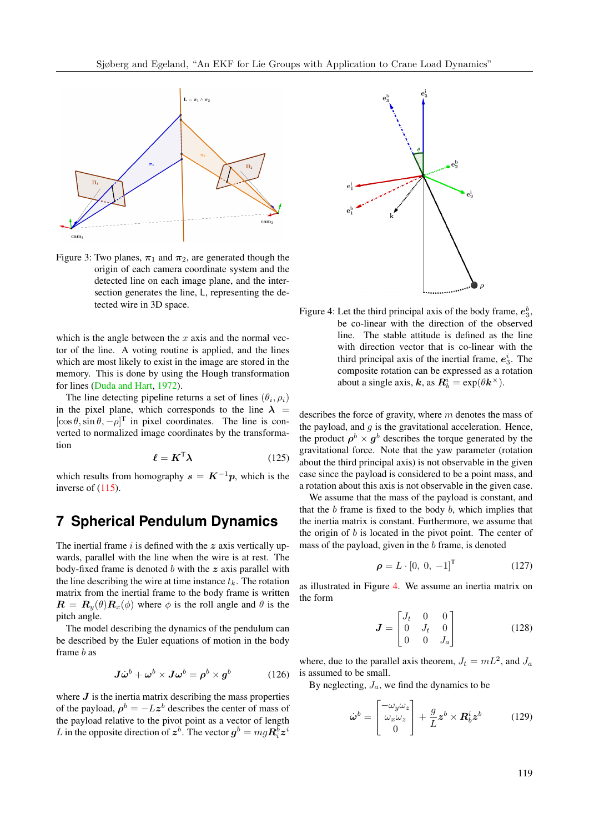

Figure 3: Two planes,  $\pi_1$  and  $\pi_2$ , are generated though the origin of each camera coordinate system and the detected line on each image plane, and the intersection generates the line, L, representing the detected wire in 3D space.

which is the angle between the  $x$  axis and the normal vector of the line. A voting routine is applied, and the lines which are most likely to exist in the image are stored in the memory. This is done by using the Hough transformation for lines [\(Duda and Hart,](#page-14-22) [1972\)](#page-14-22).

The line detecting pipeline returns a set of lines  $(\theta_i, \rho_i)$ in the pixel plane, which corresponds to the line  $\lambda$  =  $[\cos \theta, \sin \theta, -\rho]^T$  in pixel coordinates. The line is converted to normalized image coordinates by the transformation

$$
\ell = K^{\mathrm{T}} \lambda \tag{125}
$$

which results from homography  $s = K^{-1}p$ , which is the inverse of [\(115\)](#page-9-1).

# **7 Spherical Pendulum Dynamics**

The inertial frame  $i$  is defined with the  $z$  axis vertically upwards, parallel with the line when the wire is at rest. The body-fixed frame is denoted b with the  $z$  axis parallel with the line describing the wire at time instance  $t_k$ . The rotation matrix from the inertial frame to the body frame is written  $\mathbf{R} = \mathbf{R}_y(\theta) \mathbf{R}_x(\phi)$  where  $\phi$  is the roll angle and  $\theta$  is the pitch angle.

The model describing the dynamics of the pendulum can be described by the Euler equations of motion in the body frame b as

$$
\bm{J}\dot{\bm{\omega}}^b + \bm{\omega}^b \times \bm{J}\bm{\omega}^b = \bm{\rho}^b \times \bm{g}^b \tag{126}
$$

where  $J$  is the inertia matrix describing the mass properties of the payload,  $\rho^b = -Lz^b$  describes the center of mass of the payload relative to the pivot point as a vector of length L in the opposite direction of  $\boldsymbol{z}^b$ . The vector  $\boldsymbol{g}^b = mg\boldsymbol{R}_i^b\boldsymbol{z}^i$ 



<span id="page-10-0"></span>Figure 4: Let the third principal axis of the body frame,  $e_3^b$ , be co-linear with the direction of the observed line. The stable attitude is defined as the line with direction vector that is co-linear with the third principal axis of the inertial frame,  $e_3^i$ . The composite rotation can be expressed as a rotation about a single axis, k, as  $\mathbf{R}_b^i = \exp(\theta \mathbf{k}^{\times}).$ 

describes the force of gravity, where  $m$  denotes the mass of the payload, and  $g$  is the gravitational acceleration. Hence, the product  $\rho^b \times g^b$  describes the torque generated by the gravitational force. Note that the yaw parameter (rotation about the third principal axis) is not observable in the given case since the payload is considered to be a point mass, and a rotation about this axis is not observable in the given case.

We assume that the mass of the payload is constant, and that the  $b$  frame is fixed to the body  $b$ , which implies that the inertia matrix is constant. Furthermore, we assume that the origin of  $b$  is located in the pivot point. The center of mass of the payload, given in the b frame, is denoted

$$
\boldsymbol{\rho} = L \cdot [0, 0, -1]^{\mathrm{T}} \tag{127}
$$

as illustrated in Figure [4.](#page-10-0) We assume an inertia matrix on the form

$$
\mathbf{J} = \begin{bmatrix} J_t & 0 & 0 \\ 0 & J_t & 0 \\ 0 & 0 & J_a \end{bmatrix}
$$
 (128)

<span id="page-10-1"></span>where, due to the parallel axis theorem,  $J_t = mL^2$ , and  $J_a$ is assumed to be small.

By neglecting,  $J_a$ , we find the dynamics to be

<span id="page-10-2"></span>
$$
\dot{\boldsymbol{\omega}}^{b} = \begin{bmatrix} -\omega_y \omega_z \\ \omega_x \omega_z \\ 0 \end{bmatrix} + \frac{g}{L} \boldsymbol{z}^{b} \times \boldsymbol{R}_b^{i} \boldsymbol{z}^{b} \qquad (129)
$$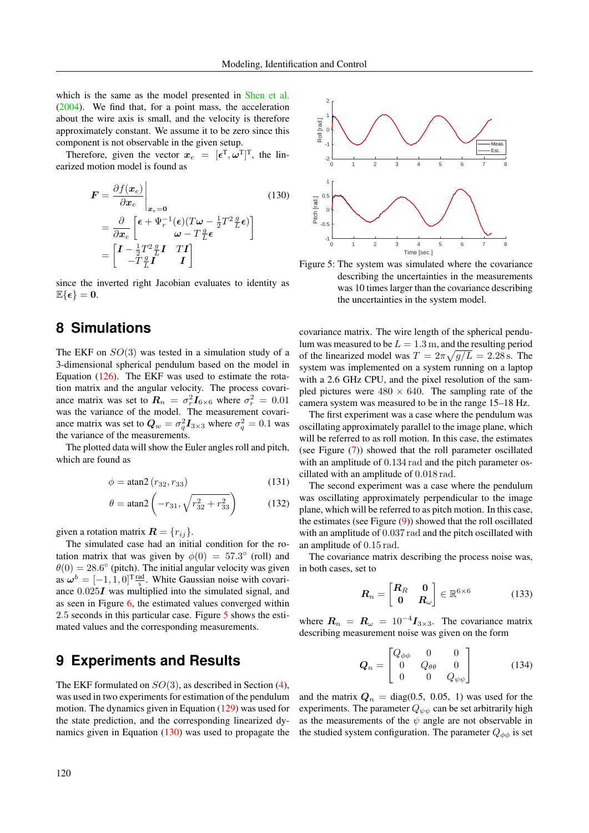which is the same as the model presented in [Shen et al.](#page-15-13) [\(2004\)](#page-15-13). We find that, for a point mass, the acceleration about the wire axis is small, and the velocity is therefore approximately constant. We assume it to be zero since this component is not observable in the given setup.

Therefore, given the vector  $x_e = [\epsilon^{\text{T}}, \omega^{\text{T}}]^{\text{T}}$ , the linearized motion model is found as

$$
\mathbf{F} = \frac{\partial f(\mathbf{x}_e)}{\partial \mathbf{x}_e} \Big|_{\mathbf{x}_e = \mathbf{0}} \tag{130}
$$
\n
$$
= \frac{\partial}{\partial \mathbf{x}_e} \left[ \epsilon + \Psi_r^{-1}(\epsilon) (T\omega - \frac{1}{2}T^2 \frac{g}{L} \epsilon) \right]
$$
\n
$$
= \left[ \mathbf{I} - \frac{1}{2} T^2 \frac{g}{L} \mathbf{I} \quad T \mathbf{I} \right]
$$
\n
$$
-T \frac{g}{L} \mathbf{I} \qquad \mathbf{I} \right]
$$

since the inverted right Jacobian evaluates to identity as  $\mathbb{E}\{\epsilon\} = 0.$ 

# **8 Simulations**

The EKF on  $SO(3)$  was tested in a simulation study of a 3-dimensional spherical pendulum based on the model in Equation [\(126\)](#page-10-1). The EKF was used to estimate the rotation matrix and the angular velocity. The process covariance matrix was set to  $\mathbf{R}_n = \sigma_r^2 \mathbf{I}_{6 \times 6}$  where  $\sigma_r^2 = 0.01$ was the variance of the model. The measurement covariance matrix was set to  $Q_w = \sigma_q^2 I_{3 \times 3}$  where  $\sigma_q^2 = 0.1$  was the variance of the measurements.

The plotted data will show the Euler angles roll and pitch, which are found as

$$
\phi = \text{atan2}(r_{32}, r_{33}) \tag{131}
$$

$$
\theta = \text{atan2}\left(-r_{31}, \sqrt{r_{32}^2 + r_{33}^2}\right) \tag{132}
$$

given a rotation matrix  $\mathbf{R} = \{r_{ij}\}.$ 

The simulated case had an initial condition for the rotation matrix that was given by  $\phi(0) = 57.3^{\circ}$  (roll) and  $\theta(0) = 28.6^{\circ}$  (pitch). The initial angular velocity was given as  $\boldsymbol{\omega}^b = [-1, 1, 0]^{\text{T}} \frac{\text{rad}}{\text{s}}$ . White Gaussian noise with covariance  $0.025$ **I** was multiplied into the simulated signal, and as seen in Figure [6,](#page-12-0) the estimated values converged within 2.5 seconds in this particular case. Figure [5](#page-11-0) shows the estimated values and the corresponding measurements.

## **9 Experiments and Results**

The EKF formulated on  $SO(3)$ , as described in Section [\(4\)](#page-5-1), was used in two experiments for estimation of the pendulum motion. The dynamics given in Equation [\(129\)](#page-10-2) was used for the state prediction, and the corresponding linearized dynamics given in Equation [\(130\)](#page-11-1) was used to propagate the



<span id="page-11-1"></span><span id="page-11-0"></span>Figure 5: The system was simulated where the covariance describing the uncertainties in the measurements was 10 times larger than the covariance describing the uncertainties in the system model.

covariance matrix. The wire length of the spherical pendulum was measured to be  $L = 1.3$  m, and the resulting period of the linearized model was  $T = 2\pi \sqrt{g/L} = 2.28$  s. The system was implemented on a system running on a laptop with a 2.6 GHz CPU, and the pixel resolution of the sampled pictures were  $480 \times 640$ . The sampling rate of the camera system was measured to be in the range 15–18 Hz.

The first experiment was a case where the pendulum was oscillating approximately parallel to the image plane, which will be referred to as roll motion. In this case, the estimates (see Figure [\(7\)](#page-12-1)) showed that the roll parameter oscillated with an amplitude of 0.134 rad and the pitch parameter oscillated with an amplitude of 0.018 rad.

The second experiment was a case where the pendulum was oscillating approximately perpendicular to the image plane, which will be referred to as pitch motion. In this case, the estimates (see Figure [\(9\)](#page-12-2)) showed that the roll oscillated with an amplitude of 0.037 rad and the pitch oscillated with an amplitude of 0.15 rad.

The covariance matrix describing the process noise was, in both cases, set to

$$
\boldsymbol{R}_n = \begin{bmatrix} \boldsymbol{R}_R & \mathbf{0} \\ \mathbf{0} & \boldsymbol{R}_\omega \end{bmatrix} \in \mathbb{R}^{6 \times 6} \tag{133}
$$

where  $R_n = R_\omega = 10^{-4} I_{3 \times 3}$ . The covariance matrix describing measurement noise was given on the form

$$
\mathbf{Q}_n = \begin{bmatrix} Q_{\phi\phi} & 0 & 0 \\ 0 & Q_{\theta\theta} & 0 \\ 0 & 0 & Q_{\psi\psi} \end{bmatrix}
$$
 (134)

and the matrix  $\mathbf{Q}_n = \text{diag}(0.5, 0.05, 1)$  was used for the experiments. The parameter  $Q_{\psi\psi}$  can be set arbitrarily high as the measurements of the  $\psi$  angle are not observable in the studied system configuration. The parameter  $Q_{\phi\phi}$  is set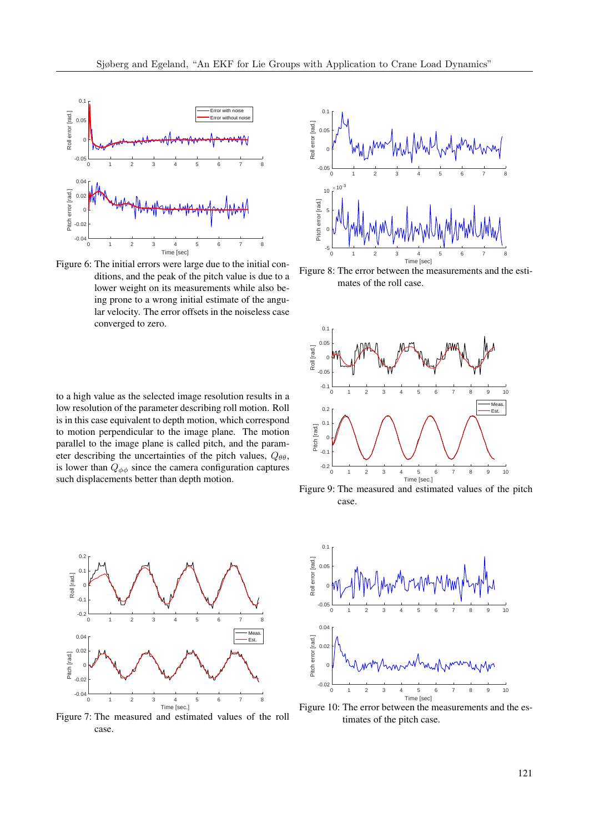

Figure 6: The initial errors were large due to the initial conditions, and the peak of the pitch value is due to a lower weight on its measurements while also being prone to a wrong initial estimate of the angular velocity. The error offsets in the noiseless case converged to zero.

to a high value as the selected image resolution results in a low resolution of the parameter describing roll motion. Roll is in this case equivalent to depth motion, which correspond to motion perpendicular to the image plane. The motion parallel to the image plane is called pitch, and the parameter describing the uncertainties of the pitch values,  $Q_{\theta\theta}$ , is lower than  $Q_{\phi\phi}$  since the camera configuration captures such displacements better than depth motion.



Figure 7: The measured and estimated values of the roll case.



<span id="page-12-0"></span>Figure 8: The error between the measurements and the estimates of the roll case.



<span id="page-12-2"></span>Figure 9: The measured and estimated values of the pitch case.



<span id="page-12-1"></span>Figure 10: The error between the measurements and the estimates of the pitch case.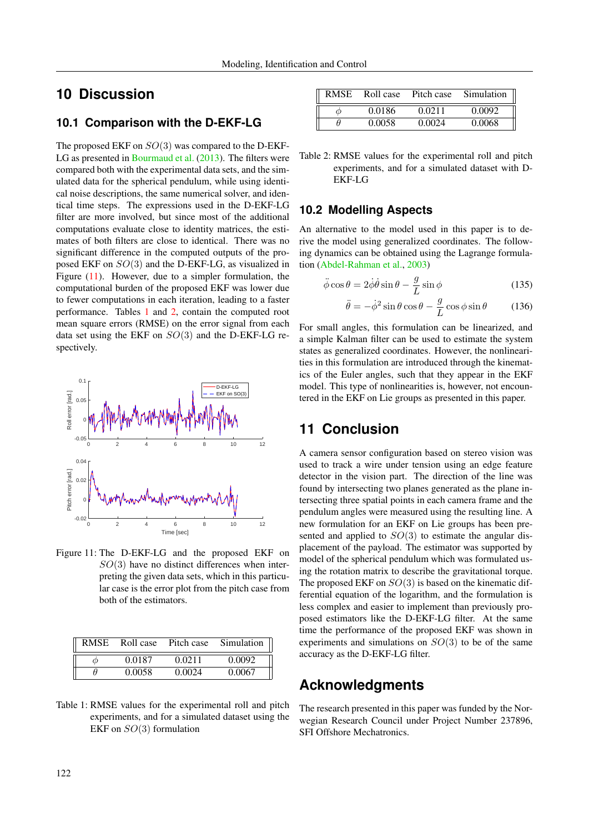# **10 Discussion**

### **10.1 Comparison with the D-EKF-LG**

The proposed EKF on  $SO(3)$  was compared to the D-EKF-LG as presented in [Bourmaud et al.](#page-14-7) [\(2013\)](#page-14-7). The filters were compared both with the experimental data sets, and the simulated data for the spherical pendulum, while using identical noise descriptions, the same numerical solver, and identical time steps. The expressions used in the D-EKF-LG filter are more involved, but since most of the additional computations evaluate close to identity matrices, the estimates of both filters are close to identical. There was no significant difference in the computed outputs of the proposed EKF on SO(3) and the D-EKF-LG, as visualized in Figure [\(11\)](#page-13-0). However, due to a simpler formulation, the computational burden of the proposed EKF was lower due to fewer computations in each iteration, leading to a faster performance. Tables [1](#page-13-1) and [2,](#page-13-2) contain the computed root mean square errors (RMSE) on the error signal from each data set using the EKF on  $SO(3)$  and the D-EKF-LG respectively.



Figure 11: The D-EKF-LG and the proposed EKF on  $SO(3)$  have no distinct differences when interpreting the given data sets, which in this particular case is the error plot from the pitch case from both of the estimators.

| <b>RMSE</b> | Roll case | Pitch case | - Simulation |
|-------------|-----------|------------|--------------|
| $\omega$    | 0.0187    | 0.0211     | 0.0092       |
|             | 0.0058    | 0.0024     | 0.0067       |

<span id="page-13-1"></span>Table 1: RMSE values for the experimental roll and pitch experiments, and for a simulated dataset using the EKF on  $SO(3)$  formulation

| <b>RMSE</b> | Roll case | Pitch case | Simulation |
|-------------|-----------|------------|------------|
| ω           | 0.0186    | 0.0211     | 0.0092     |
|             | 0.0058    | 0.0024     | 0.0068     |

<span id="page-13-2"></span>Table 2: RMSE values for the experimental roll and pitch experiments, and for a simulated dataset with D-EKF-LG

### **10.2 Modelling Aspects**

An alternative to the model used in this paper is to derive the model using generalized coordinates. The following dynamics can be obtained using the Lagrange formulation [\(Abdel-Rahman et al.,](#page-14-23) [2003\)](#page-14-23)

$$
\ddot{\phi}\cos\theta = 2\dot{\phi}\dot{\theta}\sin\theta - \frac{g}{L}\sin\phi\tag{135}
$$

$$
\ddot{\theta} = -\dot{\phi}^2 \sin \theta \cos \theta - \frac{g}{L} \cos \phi \sin \theta \qquad (136)
$$

For small angles, this formulation can be linearized, and a simple Kalman filter can be used to estimate the system states as generalized coordinates. However, the nonlinearities in this formulation are introduced through the kinematics of the Euler angles, such that they appear in the EKF model. This type of nonlinearities is, however, not encountered in the EKF on Lie groups as presented in this paper.

# **11 Conclusion**

<span id="page-13-0"></span>A camera sensor configuration based on stereo vision was used to track a wire under tension using an edge feature detector in the vision part. The direction of the line was found by intersecting two planes generated as the plane intersecting three spatial points in each camera frame and the pendulum angles were measured using the resulting line. A new formulation for an EKF on Lie groups has been presented and applied to  $SO(3)$  to estimate the angular displacement of the payload. The estimator was supported by model of the spherical pendulum which was formulated using the rotation matrix to describe the gravitational torque. The proposed EKF on  $SO(3)$  is based on the kinematic differential equation of the logarithm, and the formulation is less complex and easier to implement than previously proposed estimators like the D-EKF-LG filter. At the same time the performance of the proposed EKF was shown in experiments and simulations on  $SO(3)$  to be of the same accuracy as the D-EKF-LG filter.

# **Acknowledgments**

The research presented in this paper was funded by the Norwegian Research Council under Project Number 237896, SFI Offshore Mechatronics.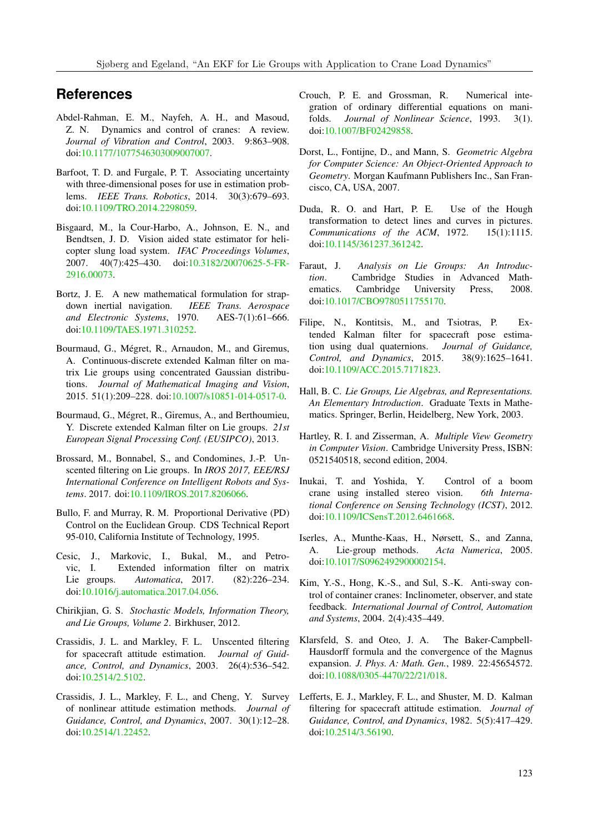# **References**

- <span id="page-14-23"></span>Abdel-Rahman, E. M., Nayfeh, A. H., and Masoud, Z. N. Dynamics and control of cranes: A review. *Journal of Vibration and Control*, 2003. 9:863–908. doi[:10.1177/1077546303009007007.](http://dx.doi.org/10.1177/1077546303009007007)
- <span id="page-14-5"></span>Barfoot, T. D. and Furgale, P. T. Associating uncertainty with three-dimensional poses for use in estimation problems. *IEEE Trans. Robotics*, 2014. 30(3):679–693. doi[:10.1109/TRO.2014.2298059.](http://dx.doi.org/10.1109/TRO.2014.2298059)
- <span id="page-14-12"></span>Bisgaard, M., la Cour-Harbo, A., Johnson, E. N., and Bendtsen, J. D. Vision aided state estimator for helicopter slung load system. *IFAC Proceedings Volumes*, 2007. 40(7):425–430. doi[:10.3182/20070625-5-FR-](http://dx.doi.org/10.3182/20070625-5-FR-2916.00073)[2916.00073.](http://dx.doi.org/10.3182/20070625-5-FR-2916.00073)
- <span id="page-14-19"></span>Bortz, J. E. A new mathematical formulation for strapdown inertial navigation. *IEEE Trans. Aerospace and Electronic Systems*, 1970. AES-7(1):61–666. doi[:10.1109/TAES.1971.310252.](http://dx.doi.org/10.1109/TAES.1971.310252)
- <span id="page-14-9"></span>Bourmaud, G., Mégret, R., Arnaudon, M., and Giremus, A. Continuous-discrete extended Kalman filter on matrix Lie groups using concentrated Gaussian distributions. *Journal of Mathematical Imaging and Vision*, 2015. 51(1):209–228. doi[:10.1007/s10851-014-0517-0.](http://dx.doi.org/10.1007/s10851-014-0517-0)
- <span id="page-14-7"></span>Bourmaud, G., Mégret, R., Giremus, A., and Berthoumieu, Y. Discrete extended Kalman filter on Lie groups. *21st European Signal Processing Conf. (EUSIPCO)*, 2013.
- <span id="page-14-6"></span>Brossard, M., Bonnabel, S., and Condomines, J.-P. Unscented filtering on Lie groups. In *IROS 2017, EEE/RSJ International Conference on Intelligent Robots and Systems*. 2017. doi[:10.1109/IROS.2017.8206066.](http://dx.doi.org/10.1109/IROS.2017.8206066)
- <span id="page-14-18"></span>Bullo, F. and Murray, R. M. Proportional Derivative (PD) Control on the Euclidean Group. CDS Technical Report 95-010, California Institute of Technology, 1995.
- <span id="page-14-8"></span>Cesic, J., Markovic, I., Bukal, M., and Petrovic, I. Extended information filter on matrix Lie groups. *Automatica*, 2017. (82):226–234. doi[:10.1016/j.automatica.2017.04.056.](http://dx.doi.org/10.1016/j.automatica.2017.04.056)
- <span id="page-14-4"></span>Chirikjian, G. S. *Stochastic Models, Information Theory, and Lie Groups, Volume 2*. Birkhuser, 2012.
- <span id="page-14-1"></span>Crassidis, J. L. and Markley, F. L. Unscented filtering for spacecraft attitude estimation. *Journal of Guidance, Control, and Dynamics*, 2003. 26(4):536–542. doi[:10.2514/2.5102.](http://dx.doi.org/10.2514/2.5102)
- <span id="page-14-2"></span>Crassidis, J. L., Markley, F. L., and Cheng, Y. Survey of nonlinear attitude estimation methods. *Journal of Guidance, Control, and Dynamics*, 2007. 30(1):12–28. doi[:10.2514/1.22452.](http://dx.doi.org/10.2514/1.22452)
- <span id="page-14-17"></span>Crouch, P. E. and Grossman, R. Numerical integration of ordinary differential equations on manifolds. *Journal of Nonlinear Science*, 1993. 3(1). doi[:10.1007/BF02429858.](http://dx.doi.org/10.1007/BF02429858)
- <span id="page-14-21"></span>Dorst, L., Fontijne, D., and Mann, S. *Geometric Algebra for Computer Science: An Object-Oriented Approach to Geometry*. Morgan Kaufmann Publishers Inc., San Francisco, CA, USA, 2007.
- <span id="page-14-22"></span>Duda, R. O. and Hart, P. E. Use of the Hough transformation to detect lines and curves in pictures. *Communications of the ACM*, 1972. 15(1):1115. doi[:10.1145/361237.361242.](http://dx.doi.org/10.1145/361237.361242)
- <span id="page-14-14"></span>Faraut, J. *Analysis on Lie Groups: An Introduction*. Cambridge Studies in Advanced Mathematics. Cambridge University Press, 2008. doi[:10.1017/CBO9780511755170.](http://dx.doi.org/10.1017/CBO9780511755170)
- <span id="page-14-3"></span>Filipe, N., Kontitsis, M., and Tsiotras, P. Extended Kalman filter for spacecraft pose estimation using dual quaternions. *Journal of Guidance, Control, and Dynamics*, 2015. 38(9):1625–1641. doi[:10.1109/ACC.2015.7171823.](http://dx.doi.org/10.1109/ACC.2015.7171823)
- <span id="page-14-13"></span>Hall, B. C. *Lie Groups, Lie Algebras, and Representations. An Elementary Introduction*. Graduate Texts in Mathematics. Springer, Berlin, Heidelberg, New York, 2003.
- <span id="page-14-20"></span>Hartley, R. I. and Zisserman, A. *Multiple View Geometry in Computer Vision*. Cambridge University Press, ISBN: 0521540518, second edition, 2004.
- <span id="page-14-10"></span>Inukai, T. and Yoshida, Y. Control of a boom crane using installed stereo vision. *6th International Conference on Sensing Technology (ICST)*, 2012. doi[:10.1109/ICSensT.2012.6461668.](http://dx.doi.org/10.1109/ICSensT.2012.6461668)
- <span id="page-14-16"></span>Iserles, A., Munthe-Kaas, H., Nørsett, S., and Zanna, A. Lie-group methods. *Acta Numerica*, 2005. doi[:10.1017/S0962492900002154.](http://dx.doi.org/10.1017/S0962492900002154)
- <span id="page-14-11"></span>Kim, Y.-S., Hong, K.-S., and Sul, S.-K. Anti-sway control of container cranes: Inclinometer, observer, and state feedback. *International Journal of Control, Automation and Systems*, 2004. 2(4):435–449.
- <span id="page-14-15"></span>Klarsfeld, S. and Oteo, J. A. The Baker-Campbell-Hausdorff formula and the convergence of the Magnus expansion. *J. Phys. A: Math. Gen.*, 1989. 22:45654572. doi[:10.1088/0305-4470/22/21/018.](http://dx.doi.org/10.1088/0305-4470/22/21/018)
- <span id="page-14-0"></span>Lefferts, E. J., Markley, F. L., and Shuster, M. D. Kalman filtering for spacecraft attitude estimation. *Journal of Guidance, Control, and Dynamics*, 1982. 5(5):417–429. doi[:10.2514/3.56190.](http://dx.doi.org/10.2514/3.56190)